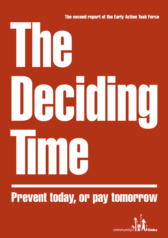

# **Prevent today, or pay tomorrow**

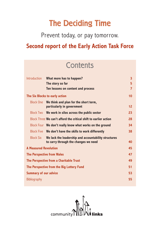## **The Deciding Time**

Prevent today, or pay tomorrow.

## **Second report of the Early Action Task Force**

## **Contents**

| <b>Introduction</b>          | What more has to happen?                                                                     | $\overline{\mathbf{3}}$ |
|------------------------------|----------------------------------------------------------------------------------------------|-------------------------|
|                              | The story so far                                                                             | 5                       |
|                              | Ten lessons on content and process                                                           | 7                       |
|                              | The Six Blocks to early action                                                               | 10                      |
| <b>Block One</b>             | We think and plan for the short term,<br>particularly in government                          | 12                      |
| <b>Block Two</b>             | We work in silos across the public sector                                                    | 23                      |
|                              | Block Three We can't afford the critical shift to earlier action                             | 28                      |
|                              | Block Four We don't really know what works on the ground                                     | 34                      |
|                              | Block Five We don't have the skills to work differently                                      | 38                      |
| <b>Block Six</b>             | We lack the leadership and accountability structures<br>to carry through the changes we need | 40                      |
| <b>A Measured Revolution</b> |                                                                                              | 45                      |
|                              | <b>The Perspective from Wales</b>                                                            | 47                      |
|                              | The Perspective from a Charitable Trust                                                      | 49                      |
|                              | The Perspective from the Big Lottery Fund                                                    | 51                      |
| <b>Summary of our advice</b> |                                                                                              | 53                      |
| Bibliography                 |                                                                                              | 55                      |
|                              |                                                                                              |                         |

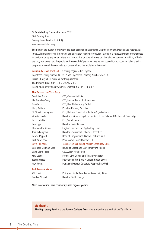© Published by Community Links 2012 105 Barking Road Canning Town, London E16 4HQ www.community-links.org

The right of the author of this work has been asserted in accordance with the Copyright, Designs and Patents Act 1988. All rights reserved. No part of this publication may be reproduced, stored in a retrieval system or transmitted in any form, or by any means (electronic, mechanical or otherwise) without the advance consent, in writing, of both the copyright owner and the publisher. However, brief passages may be reproduced for non-commercial or training purposes provided the source is acknowledged and the publisher is informed.

Community Links Trust Ltd. – a charity registered in England. Registered Charity number 1018517 and Registered Company Number 2661182 British Library CIP is available for this publication. The Deciding Time: ISBN 978-0-9567126-4-6 Design and print by Sheaf Graphics, Sheffield, t: 0114 273 9067

#### The Early Action Task Force

| Geraldine Blake            | CEO, Community Links                                                      |
|----------------------------|---------------------------------------------------------------------------|
| Kim Bromley-Derry          | CEO, London Borough of Newham                                             |
| Dan Corry                  | CEO, New Philanthropy Capital                                             |
| Hilary Cottam              | Principle Partner, Participle                                             |
| Sir Stuart Etherington     | CEO, National Council of Voluntary Organisations                          |
| Victoria Hornby            | Director of Grants, Royal Foundation of The Duke and Duchess of Cambridge |
| David Hutchison            | CEO, Social Finance                                                       |
| Ben Jupp                   | Director, Social Finance                                                  |
| Dharmendra Kanani          | England Director, The Big Lottery Fund                                    |
| Tom McLaughlan             | Director Government Relations, Accenture                                  |
| Debbie Pippard             | Head of Programmes, Barrow Cadbury Trust                                  |
| Prof. Anne Power           | Professor of Social Policy at LSE                                         |
| David Robinson             | Task Force Chair, Senior Advisor, Community Links                         |
| Baroness Stedman-Scott     | House of Lords; and CEO, Tomorrows People                                 |
| Dame Clare Tickell         | CEO, Action for Children                                                  |
| Kitty Ussher               | Former CEO, Demos and Treasury minister.                                  |
| Yasmin Waljee              | International Pro Bono Manager, Hogan Lovells                             |
| Nick Wright                | Managing Director Corporate Responsibility UBS                            |
| <b>Task Force Advisors</b> |                                                                           |
| <b>Will Horwitz</b>        | Policy and Media Coordinator, Community Links                             |
| Caroline Slocock           | Director, Civil Exchange                                                  |

More information: www.community-links.org/earlyaction

#### **We thank …**

**The Big Lottery Fund** and the **Barrow Cadbury Trust** who are funding the work of the Task Force.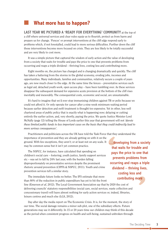## n **What more has to happen?**

#### **LAST yEAR WE PiCTuREd A 'REAdy FoR EvERyThing' CoMMuniTy** at the top of

a cliff where universal services and clear rules equip us to flourish, protect us from harm and prepare us for change. 'Fences' or prompt interventions at the cliff edge respond early to problems which, if not forestalled, could lead to more serious difficulties. Further down the cliff those interventions become more focused on crisis. They are less likely to be totally successful and are very likely to cost more.

It was a simple picture that captured the wisdom of early action and the value of developing from a society that waits for trouble and pays the price to one that prevents problems from occurring and reaps a triple dividend – thriving lives, costing less and contributing more.

Eight months on, the picture has changed and is changing dramatically and quickly. The cliff has taken a battering from the storms in the global economy, eroding jobs, incomes and opportunities. Many individuals, families and communities, relatively secure a couple of years ago, are now much closer to the edge. At the same time the fences – preventative services such as legal aid, detached youth work, open access play – have been tumbling over. As these services disappear the subsequent demand for expensive acute provision at the bottom of the cliff rises inevitably and inexorably. The consequential costs, economic and social, are unsustainable.

It's hard to imagine that we'd ever stop immunising children against TB or polio because we could not afford it. Or only operate for cancer after a nine-week minimum waiting period because earlier detection and swift treatment is thought too expensive. Yet in other, less well chartered areas of public policy that is exactly what is happening now; delaying or cutting entirely the earlier action, and, very shortly, paying the price. We quote Justice Minister Lord McNally (page 12) telling the House of Lords earlier this year that government will not *'devote these limited public funds to less important cases on the basis that they could indirectly lead to more serious consequences'*.

Practitioners and politicians across the UK have told the Task Force that they understand the importance of prevention and they are already getting on with it on the

ground. With few exceptions, they aren't; or at least not on any scale. It may be common sense but it isn't yet common practice.

The NSPCC, for instance, have calculated that spending on children's social care – fostering, youth justice, family support services etc – was set to fall by 24% last year, with the burden falling disproportionately on preventative services despite the prominent rhetoric around prevention (CIPFA & NSPCC, 2011). Youth and crime prevention services tell a similar story.

leisure centres and much else (LGA, 2012).

The immediate future looks no better. The IFS estimate that more than 80% of the reduction in public expenditure has yet to hit the front line (Emerson *et al*, 2012). The Local Government Association say that by 2020 the cost of delivering councils' statutory responsibilities (social care, social services, waste collection and concessionary travel) will leave almost nothing for early action services or, indeed, libraries,

Day after day the media report on The Economic Crisis. It is, for the moment, the story of our time. The social damage remains a minor sub-plot, one of the subsidiary effects. Future generations may see it differently. In 15 or 20 years time our children may think of this decade as the period when consistent progress on health and well-being, sustained unbroken through

…developing from a society that waits for trouble and pays the price to one that prevents problems from occurring and reaps a triple dividend – thriving lives, costing less and contributing more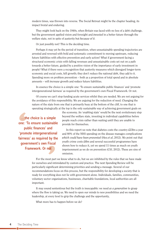modern times, was thrown into reverse. The Social Retreat might be the chapter heading, its impact brutal and enduring.

They might look back on the 1940s, when Britain was faced with no less of a debt challenge, but the government applied vision and foresight and *invested* in a better future through the welfare state, not in spite of austerity but *because of it.*

Or just possibly not? This is the deciding time.

Perhaps it may yet be the period of transition, when unsustainable spending trajectories are arrested and reversed with bold and systematic commitment to moving upstream, reducing future liabilities with effective prevention and early action? What if government facing a structural economic crisis with falling revenues and unsustainable costs set out on a path towards a better future, guided by a positive vision of the importance of early investment in people? What if there were a recognition that austerity measures which disregard longer-term economic and social costs, kill growth; they don't reduce the national debt, they add to it. Spending more on problem prevention – both as a proportion of total spend and in absolute amounts – will *increase* growth and *reduce* future liabilities.

In essence the choice is a simple one: 'To ensure sustainable public finances' and 'promote intergenerational fairness' as required by the government's own Fiscal Framework. Or not.

Of course we can't stop funding acute services whilst they are needed. We are not arguing for the avoidance of this responsibility. We are arguing for the reduction of need. Changing the nature of the state from one that is primarily busy at the bottom of the cliff, to one that is operating strategically at the top is the only sustainable way of achieving government goals on

…the choice is a simple one: 'To ensure sustainable public finances' and 'promote intergenerational fairness' as required by the government's own Fiscal Framework. Or not

the economy. An 'enabling state' would be the next evolutionary step beyond the welfare state, investing in individual capabilities before people reach crisis rather than waiting until they are unable to provide for themselves.

In this report we note that diabetes costs the country £23bn a year and 80% of the NHS spending on the disease manages complications *which could have been prevented* (Hex *et al*, 2012). We point out that youth crime costs £4bn and several successful programmes have shown how to reduce it, yet we spend 11 times as much on youth imprisonment as we do on prevention (CSJ, 2012). These are sins of omission.

For the most part we know what to do, but we are inhibited by the rules that we have made for ourselves and intimidated by custom and practice. The next Spending Review will be particularly significant determining priorities and sending a message. Several of our recommendations focus on this process, but the responsibility for developing a society that is ready for everything does not lie with government alone. Individuals, families, communities, voluntary sector organisations, businesses, charitable foundations, local authorities are all important.

It may sound sententious but the truth is inescapable: we need *as a generation* to grasp where the flow is taking us. We need to open our minds to new possibilities and we need the leadership, at every level to grip the challenge and the opportunity,

What more has to happen before we do?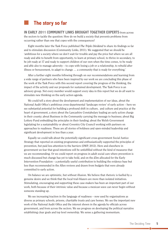## n **The story so far**

**in EARLy 2011 CoMMuniTy LinkS BRoughT TogEThER ExPERTS** from across the sectors to tackle the question: How do we build a society that prevents problems from occurring rather than one that copes with the consequences?

Eight months later the Task Force published *The Triple Dividend* to share its findings so far and to stimulate discussion (Community Links, 2011). We suggested that we should be 'ambitious for a society where we don't wait for trouble and pay the price but where we are all ready and able to benefit from opportunity, to learn at primary school, to thrive in secondary, to be job ready at 17 and ready to support children of our own when the time comes, to be ready and able also to manage adversity – to cope with losing a job or a relationship, to rebuild after illness or bereavement, to adapt to change … a community that is ready for everything.'

After a further eight months following through on our recommendations and learning from a wide range of partners who have been inspired by our work we are concluding this phase of the work of the Task Force with this second report covering the progress of the thinking, the impact of the activity and our proposals for sustained development. The Task Force is an advisory group. Not every member would support every idea in this report but we do all want to stimulate new thinking on the early action agenda.

We could tell a story about the development and implementation of our ideas, about the National Audit Office's ambitious cross-departmental 'landscape review' of early action – here we see substantial potential for building a profound shift in culture, and culture and practice at the heart of government, a story about the Lancashire Constabulary leading an early action charge in their county; about Business in the Community carrying the message to business; about Big Lottery Fund embedding the principles in their funding; about the Welsh Government legislating for a sustainability or about Coventry City Council working with partners on approaches to readiness. These are all stories of boldness and open-minded leadership and significant development in less than a year.

Equally we could talk about the potentially significant cross-government Social Justice Strategy that reported on existing programmes and enthusiastically supported the principles of prevention, but paid less attention to the barriers (DWP, 2012). Here and elsewhere in government we fear that good intentions will be unfulfilled without the kind of measures that we are recommending. Or we could report on progress in adult social care where prevention is much discussed but change has yet to take hold, and on the £5m allocated for the Early Intervention Foundation – a potentially useful contribution to building the evidence base but less than recommended in the Allen reviews and drawn from budgets that were already committed to early action.

On balance we are optimistic, but without illusion. We believe that rhetoric is fuelled by a genuine desire and we think that the local trail-blazers are more than isolated initiatives. Stimulating, encouraging and supporting these case-makers has been an important part of our work, both because of their intrinsic value and because a mexican wave can never begin without someone standing up.

We see increasing traction in the language of readiness – now used by organisations as diverse as primary schools, prisons, charitable trusts and care homes. We see the important new work of the National Audit Office and the interest shown in the agenda by officials across government, and from across the sectors. We see progress on developing the political narrative establishing clear goals and top level ownership. We sense a gathering momentum.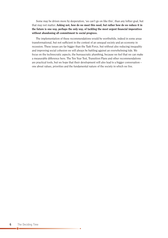Some may be driven more by desperation, 'we can't go on like this', than any loftier goal, but that may not matter. **Asking not, how do we meet this need, but rather how do we reduce it in the future is one way, perhaps the only way, of tackling the most urgent financial imperatives without abandoning all commitment to social progress.**

The implementation of these recommendations would be worthwhile, indeed in some areas transformational, but not sufficient in the context of an unequal society and an economy in recession. These issues are far bigger than the Task Force, but without also reducing inequality and improving social cohesion we will always be battling against an overwhelming tide. We focus on the technocratic aspects, the bureaucratic plumbing, because we feel that we can make a measurable difference here. The Ten Year Test, Transition Plans and other recommendations are practical tools, but we hope that their development will also lead to a bigger conversation – one about values, priorities and the fundamental nature of the society in which we live.

 $\bullet$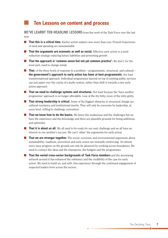## n **Ten Lessons on content and process**

**WE'vE LEARnT TEn hEAdLinE LESSonS** from the work of the Task Force over the last year.

- n **That this is a critical time.** Earlier action matters now more than ever. Present trajectories of need and spending are unsustainable
- n **That the arguments are economic as well as social.** Effective early action is a needreduction strategy reducing future liabilities and promoting growth
- n **That the approach is 'common sense but not yet common practice'.** We don't, for the most part, need to change minds
- **n That**, of the three levels of response to a problem programmatic, structural, and cultural **the government's approach to early action has been at best programmatic**, the least transformational approach. Individual programmes layered on top of existing public services can just paper over the cracks of a faulty system, rather than shift it towards a new early action approach
- **n That we need to challenge systems and structures.** Not least because the 'have another programme' approach is no longer affordable. Less of the itty bitty, more of the nitty-gritty
- **n That strong leadership is critical.** Some of the biggest obstacles to structural change are cultural resistance and institutional inertia. They will only be overcome by leadership, at every level, willing to challenge convention
- **n That we know how to do the basics.** We know the weaknesses and the challenges but we have the experience and the knowledge and there are plausible grounds for being ambitious and optimistic
- **n That it is about us all.** We all need to be ready for our next challenge and we all have an interest in one another's success. We can't 'other' the arguments for early action
- **n That we are stronger together.** The social, economic and environmental arguments about sustainability, readiness, prevention and early action are mutually reinforcing. On almost every issue progress on the ground can only be advanced by working across boundaries. We need to connect the ideas and the champions, the budgets and the programmes
- n **That the varied cross-sector backgrounds of Task Force members** and the developing network around it has enhanced the substance and the credibility of the case for early action. We need to build on, and with, this experience through the continued engagement of respected leaders from across the sectors.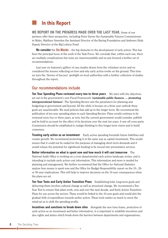## n **in this Report**

**WE REPoRT on ThE PRogRESS MAdE ovER ThE LAST yEAR.** Some of our partners offer their perspective, including Peter Davies the Sustainable Futures Commissioner in Wales, Matthew Smerdon the Assistant Director of the Baring Foundation and Ambreen Shah Deputy Director at the Big Lottery Fund

**We consider** the **Six Blocks** – the big obstacles to the development of early action. This has been the principal focus of the work of the Task Force. We conclude that, within each one, there are multiple complications but none are insurmountable and we put forward a further set of recommendations.

Last year we featured a gallery of case studies drawn from the voluntary sector and we considered the lessons reflecting on how and why early action works on the ground. This time we turn the 'Stories of Success' spotlight on local authorities with a further collection of studies throughout the report.

#### Our recommendations include

**Ten year Spending Plans reviewed every two to three years** We start with the objectives set out in the government's own Fiscal Framework **'sustainable public finances … promoting intergenerational fairness'**. The Spending Review sets the parameters for planning and budgeting in government and beyond. All the while it focuses on a three year outlook these goals are unachievable. We need policies that add up in the longer term. We recommend the publication of ten-year spending plans in each Spending Review. Plans would continue to be reviewed every two or three years, as now, but the current government would consider, publish and be held to account for the effect of its decisions over the next ten years. A one-off cross-party Commission should be established to realign thinking to this longer-term vision and to build consensus.

**Treating early action as an investment** Early action spending forestalls future liabilities and creates growth. We recommend protecting it in the same way as capital investment. This would ensure that it could not be raided for the purposes of managing short-term demands and it would release the potential for significant funding to be moved into preventative services.

**Better information on what is spent now and how much it will cost tomorrow** The National Audit Office is working on a cross departmental early action landscape review, and is intending to include early action cost information. This information and more is needed for planning and management. We further recommend that the Office for National Statistics analyse how money is spent now and the Office for Budget Responsibility report on the 10-, 20 or 50-year implications. This will help to improve decisions on the 10-year consequences when the plans are set.

**Ten year Tests and Early Action Transition Plans** Establishing bold, long-term goals and delivering them involves cultural change as well as structural change. We recommend a Ten-Year Test to ensure that plans work, now and over the next decade, and Early Action Transition Plans for use across the sectors. These would be linked to the 10-year goals and would plot the gradual shift of expenditure towards earlier action. These tools matter as much to move the mind-set as to shift the spending profile.

**incentives and sanctions to break down silos** Alongside the new time frame, protection of early action as an investment and better information, it is important to establish incentives and also rights and duties which break down the barriers between departments and organisations,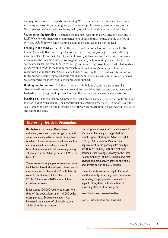and require and reward longer-term planning. We recommend various financial incentives, including responsibility charging, early action funds, profit sharing, premiums and, as the Welsh government are now considering, <sup>a</sup> duty on all public bodies to think of the future.

**Changing on the frontline** Changing the financial systems and structures is not an end in itself. We follow through with recommendations about commissioning, and the delivery of services, including work force training, <sup>a</sup> duty to collaborate and <sup>a</sup> right to lead.

**Leading in the third sector** From the outset the Task Force has been concerned with building <sup>a</sup> society that prevents problems from occurring, not just <sup>a</sup> government, although government's role is crucial both for what it directly determines and for the wider influence of <sup>a</sup> process like the Spending Review. We suggest new early-action funding streams for the third sector, and leadership from funders requiring, and resourcing, possibly with dedicated funds, <sup>a</sup> measured shift towards the long-term reduction of need. Amongst other possibilities we recommend an independent Case Makers' Fund, redirecting the returned loans from Future Builders and releasing the assets of the National Fund. The best early action is often personal. We recommend tax incentives to encourage peer support.

**holding feet to the fire** To judge, to cajole and to hold to account we recommend <sup>a</sup> champion within government, an independent Futures Commissioner and, because we need leadership from the ground up as well as from the top down, <sup>a</sup> new national conversation.

**Pushing on** The original programme of the Task Force is completed with this publication, but the work has only just begun. The network that has emerged over the last 18 months with the Task Force at the centre will be driving <sup>a</sup> new three-year programme, taking forward these ideas and telling the story.

#### **improving health in Birmingham**

**Be Active** is a scheme offering free swimming, exercise classes or gym use, and some community activities to all Birmingham residents. It aims to tackle health inequalities and associated deprivation; a recent cost benefit analysis found that on average every £1 invested in Be Active generates £21.30 in benefits.

The scheme allows people to use council-run facilities for free during off-peak times, and is mostly funded by the local NHS, with the city council contributing 15% of the cost. In 2011/12 there were 1615 hours of free activities per week.

It has about 300,000 registered users (one third of the population), and 140,000 active users per year. Evaluations show it has increased the number of physically active adults since its introduction.

The programme costs £22.0 million over five years, and the analysis suggested the benefits generated by Be Active exceed its cost by £445.2 million. Most of this is improvement in the participants' quality of life (£377.2 million), with the rest split between 'cash savings' (mostly to the local Health Authority) of £28.7 million and cost savings and productivity gains to the public and private sector of £39.2 million.

These benefits accrue mostly to the local health authority, reflecting their contribution to funding the programme. However the impact is long-term, with most benefits occurring after the first five years.

www.birmingham.gov.uk/beactive

Sources: Marsh, Bertranou and Samanta (2011)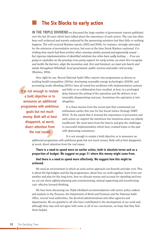## n **The Six Blocks to early action**

**in ThE TRiPLE dividEnd** we discussed the large number of government reports published over the last 20 years which have talked about the importance of early action. The case has often been well evidenced and warmly endorsed by the sponsoring ministers but then little or nothing happens. The well-received Wanless reports (2002 and 2004), for instance, strongly advocated for the extension of preventative services, but even at the time Derek Wanless cautioned *'it is striking how much had been written often covering similar ground and apparently sound … but rigorous implementation of identified solutions has often been sadly lacking … If we are going to capitalise on the growing cross-party support for early action, we must first recognise and tackle the barriers, align the incentives and, first and foremost, we must win hearts and minds throughout Whitehall, local government, public services and wider civil society.'* (Wanless, 2004).

How right he was. Recent National Audit Office reports into programmes as diverse as tackling health inequalities (2010a), developing renewable energy technologies (2010b), and preventing youth offending (2010c) have all noted how problems with implementation systems

It is not enough to restate a bold objective or to announce an additional programme with ambitious goals but not much money. Both will at best disappoint, at worst, divert attention from the real issues

and little or no collaboration have resulted, at best, in a prolonged delay between the setting of the aspiration and the delivery of an invariably disappointing outcome. Sometimes the aspiration is lost altogether.

It is these lessons from the recent past that constrained our enthusiasm earlier this year for the Social Justice Strategy (DWP, 2012). To the extent that it stressed the importance of prevention and early action we support the intentions but intentions alone are plainly insufficient. We must learn from the history and grip the challenges to successful implementation which have crushed hopes in the past with depressing consistency.

It is not enough to restate a bold objective or to announce an additional programme with ambitious goals but not much money. Both will at best disappoint, at worst, divert attention from the real issues.

**There is a need to spend more on earlier action, both in absolute terms and as a proportion of budget. We suggest on page 31 where this money might come from.**

**And there is a need to spend more effectively. We suggest how this might be achieved.**

We need an environment in which an early-action approach can flourish and take root. This is about the big budgets and the big programmes, about how we work together, learn from one another and plan for the long term, how we allocate money and account for spending and how we cut out short-sighted planning and commissioning, instead supporting and incentivising cost- effective forward thinking.

We have been discussing our *Triple Dividend* recommendations with senior policy makers and analysts in the Treasury, the Department of Work and Pensions and the National Audit Office, several local authorities, the devolved administrations and other agencies and departments. We are grateful to all who have contributed to the development of our work and, although they may well not agree with some or all of our conclusions, we hope that they find them helpful.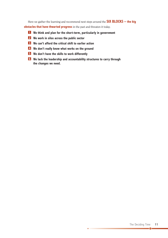Here we gather the learning and recommend next steps around the **Six BLoCkS – the big obstacles that have thwarted progress** in the past and threaten it today.

- n **We think and plan for the short-term, particularly in government 1**
- n **We work in silos across the public sector 2**
- n **We can't afford the critical shift to earlier action 3**
- n **We don't really know what works on the ground 4**
- n **We don't have the skills to work differently 5**
- n **We lack the leadership and accountability structures to carry through 6the changes we need.**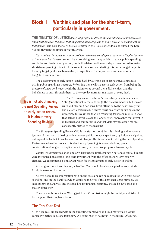## **Block 1 We think and plan for the short-term, particularly in government.**

**ThE MiniSTRy oF JuSTiCE** does *'not propose to devote these limited public funds to less important cases on the basis that they could indirectly lead to more serious consequences for that person'* said Lord McNally, Justice Minister in the House of Lords, as he piloted the Legal Aid Bill through the House earlier this year.

*'Let's not waste money on minor problems when we could spend more once they've become extremely serious'* doesn't sound like a promising mantra by which to reduce public spending, and is the antithesis of early action, but is the default option for a department forced to make short-term spending cuts with little room for manoeuvre. Meeting this year's budget target is the only target (and is well-rewarded), irrespective of the impact on your own, or others' budgets in years to come.

The development of early action is held back by a strong set of disincentives embedded within public spending structures. Reforming these will transform early action from being the preserve of a few bold leaders with the vision to see beyond these disincentives and the bullishness to push through them, to the everyday norm for managers at every level.

This is not about making the next Spending Review an early-action review. It is about every Spending Review

The Treasury seeks to achieve 'sustainable public finances' and 'intergenerational fairness' through the fiscal framework, but its own rules and planning horizons direct attention to the next three years, and dictate a particularly ruthless focus on achieving savings in the immediate future rather than on managing taxpayers' money in ways that deliver best value over the longer term. Approaches that invest in individuals and communities and that yield savings over time are consistently pushed to the margins.

The three-year Spending Review (SR) is the starting point for this thinking and imposes a tyranny of short-term thinking both wherever public money is spent and, by influence, rippling out beyond its bailiwick. We believe it must change. This is not about making the next Spending Review an early-action review. It is about every Spending Review embedding proper consideration of long-term implications in *every* decision. We propose a ten-year cycle.

Capital investment was once similarly discouraged until separate ring-fenced capital budgets were introduced, insulating long-term investment from the effect of short-term priority changes. We recommend a similar approach for the treatment of early-action spending.

Across government and beyond, a Ten Year Test should be widely applied to keep minds firmly focussed on the future.

All this needs more information both on the costs and savings associated with early action spending, and on the liabilities which would be incurred if this approach is *not* pursued. We suggest how the analysis, and the base line for financial planning, should be developed as a matter of urgency.

These are ambitious ideas. We suggest that a Commission might be usefully established to help support their implementation.

#### The Ten Year Test

A Ten Year Test, embedded within the budgeting framework and used more widely, would consider whether decisions taken now will come back to haunt us in the future. Of course,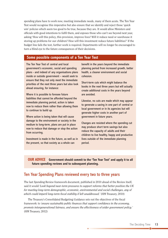spending plans have to work now, meeting immediate needs, many of them acute. The Ten Year Test would recognise this imperative but also ensure that we identify and reject those 'quick win' policies which seem too good to be true, because they are. It would allow Ministers and officials with good intentions to fulfil them, and exposes those who can't see beyond next year, asking 'How will this policy, this provision, improve lives? Will it reduce need or warehouse it storing up problems for our children? How will this investment reduce future liabilities?' If the budget line fails the test, further work is required. Departments will no longer be encouraged to turn a blind eve to the future consequences of their decisions.

#### **Some possible components of a Ten year Test**

The Ten Year Test of central and local government's economic, social and spending plans - and indeed of any organisations plans inside or outside government – would seek to ensure that they not only meet the immediate priorities of the next three years but also look ahead ensuring, for instance:

Where it is possible to foresee future liabilities that cannot be afforded beyond the immediate planning period, action is taken now to reduce them rather than allowing them to continue to build up.

Where action is being taken that will cause damage to the environment or society in the medium to long-term, plans are put in place now to reduce that damage or stop the action from occurring.

Investment is made in the future, as well as in the present, so that society as a whole can

benefit in the years beyond the immediate planning period from increased growth, better health, a cleaner environment and social cohesion.

Short-term cuts which might balance the books in the next three years but will actually create additional costs in the years beyond are avoided.

Likewise, no cuts are made which may appear to generate a saving in one part of central or local government or in its agencies but will generate higher costs in another part of government in future years.

Changes are resisted where the spending cut may produce short term savings but also reduce the capacity of adults and their children to live healthy, happy and productive lives outside of the immediate planning period.

**ouR AdviCE government should commit to the 'Ten year Test' and apply it to all future spending reviews and to subsequent planning.**

#### Ten Year Spending Plans reviewed every two to three years

The last Spending Review framework document, published in 2010 ahead of the Review itself, said it would *'Look beyond near-term pressures to support reforms that better position the UK for meeting long-term demographic, economic, environmental and social challenges, any of which could imperil long-term fiscal stability if left unaddressed.'* (HM Treasury, 2010)

The Treasury's Consolidated Budgeting Guidance sets out the objectives of the fiscal framework: to *'ensure sustainable public finances that support confidence in the economy, promote intergenerational fairness, and ensure the effectiveness of wider government policy.'* (HM Treasury, 2012)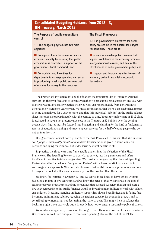#### **Consolidated Budgeting guidance from 2012-13, hM Treasury, March 2012**

#### **The Purpose of public expenditure control**

1.1 The budgeting system has two main objectives:

 $\blacksquare$  To support the achievement of macroeconomic stability by ensuring that public expenditure is controlled in support of the government's fiscal framework; and

 $\blacksquare$  To provide good incentives for departments to manage spending well so as to provide high quality public services that offer value for money to the tax-payer.

#### **The Fiscal Framework**

1.3 The government's objectives for fiscal policy are set out in the Charter for Budget Responsibility. These are to:

 $\blacksquare$  ensure sustainable public finances that support confidence in the economy, promote intergenerational fairness, and ensure the effectiveness of wider government policy; and

 $\blacksquare$  support and improve the effectiveness of monetary policy in stabilising economic fluctuations.

The Framework introduces into public finances the important idea of 'intergenerational fairness'. In theory it forces us to consider whether we can simply park a problem and deal with it later for a similar cost, or whether the price rises disproportionately from generation to generation or even from year to year. We know, for instance, that there is an established impact of being unemployed for a year or more, and that this individual 'liability' on the public balance sheet increases disproportionately with the passage of time. Youth unemployment in 2012 alone is estimated to have a net present value cost to the Treasury of  $\text{\pounds}28$  billion over the coming decade. Such figures must be factored into budgeting and planning for the kind of fundamental reform of education, training and career support services for the half of young people who do not go to university.

One government official noted privately to the Task Force earlier this year that *'the markets don't judge us sufficiently on future liabilities'*. Consideration is given in some areas, on pensions and aging for instance, but wider scrutiny might benefit us all.

In practise, the three-year time frame fatally undermines the objectives of the Fiscal Framework. The Spending Review, to a very large extent, sets the parameters and offers insufficient incentive to take a longer view. We considered suggesting that the next Spending Review should be framed as an 'early action Review', with a basket of sticks and carrots to encourage a new approach. We concluded however that whilst the review process focuses on a three-year outlook it will always be more a part of the problem than the answer.

We know, for instance, how many 12- and 13-year-olds are likely to leave school without basic skills in four or five years time and we know the price of that. We know also the cost of reading recovery programmes and the percentage that succeed. A society that applied even a five-year perspective to its public finances would be investing more in literacy work with school age children. In reality, spending on literary support has always been limited and is falling fast, incurring an imminent liability, reducing the nation's capacity for economic growth, and so contributing to increasing, not decreasing, the national debt. This might help to balance the books in a tight three-year cycle but it is exactly how not to 'ensure sustainable public finances'.

We need a new approach, focused on the longer term. There is a precedent for such a reform. Government moved from one-year to three-year spending plans at the end of the 1990s,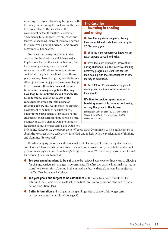reviewing three-year plans every two years, with the final year becoming the first year of the next three-year plan. At the same time, the government began, through Public Service Agreements, to set longer-term objectives and targets for spending, many of them well beyond the three-year planning horizon. Some crossed departmental boundaries.

To some extent every government takes decisions in the short run which have major implications beyond the electoral horizon, for instance on pensions, social care and educational qualifications. Indeed, Ministers couldn't do the job if they didn't. Even threeyear spending plans often go beyond elections – although an incoming government may change them. **However, there is a radical difference between introducing new policies that may have long-term implications, and consistently being forced to publish estimates of the consequences over a ten-year period of existing policies.** This would force the current government to be held to account for the longer term consequences of its decisions and encourage longer term thinking across political boundaries. Such a change would not require legislation because longer term plans would not

#### **...investing in reading and writing The Case for**

 $\blacksquare$  Low literacy stops people achieving their potential and costs the country up to £2.5bn every year.

 $\blacksquare$  With the right resource we know we can teach anyone to read and write.

 $\blacksquare$  Even the more expensive interventions during childhood, like the intensive Reading Recovery programme, cost less far less than dealing with the consequences of low literacy in adulthood.

 $\blacksquare$  Yet 14% of 11-year-olds struggle with reading, and 25% cannot write as well as they should

#### **it's time to decide: spend now on teaching every child to read and write, or pay the price in the future**

Sources: Jama and Dugdale (2012), Every Child a Chance Trust (2009), Policy Exchange (2009), Kitchen et al (2012)

be binding. However, we do propose a one-off cross-party Commission to help build consensus about the key areas where early action is needed, and to help with the reorientation of thinking and planning. (See page 21)

Clearly, changing pressures and events, not least elections, will require a regular review of any plan – so plans would continue to be reviewed every two or three years – but that does not prevent many organisations from taking a longer-term view. We therefore propose a new format for Spending Reviews, to include:

- l **Ten year spending plans to be set**, and to be reviewed every two to three years so allowing for change, particularly changes in governments. The first two years will normally be 'set in stone' to allow for firm planning in the immediate future; these plans would be subject to the Ten Year Test described above;
- l **Ten year goals and targets to be established** at the same time, with milestones for achieving these longer-term goals set in the first three to five years and captured in Early Action Transition Plans
- **Better information** and changes in the spending rules to support this longer-term perspective, as further explored on page 35.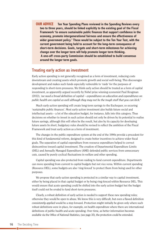**ouR AdviCE Ten year Spending Plans reviewed in the Spending Reviews every two to three years, should be linked explicitly to the existing goal of the Fiscal Framework 'to ensure sustainable public finances that support confidence in the economy, promote intergenerational fairness and ensure the effectiveness of wider government policy.' These would be subject to the Ten year Test, with the current government being held to account for the long-term consequence of short-term decisions. goals, targets and short-term milestones for achieving change over the longer term will help promote longer term thinking. A one-off cross-party Commission should be established to build consensus around the longer term goals.**

#### Treating early action as investment

Early action spending is not generally recognised as a form of investment, reducing costs downstream and creating assets which promote growth and social well-being. This discourages development and makes such funds especially vulnerable to 'raids' for the purposes of responding to short-term pressures. We think early action should be treated as a form of capital investment, as apparently argued recently by Nobel prize winning economist Paul Krugman (2012), *'we need a broad definition of capital – expenditures on education and expenditures on public health are capital as well although they may not be the tough stuff that you can kick.'*

Much early-action spending will create long-term savings to the Exchequer, so securing 'sustainable public finances'. Most early-action investment also builds future social and intellectual assets – a lot of the education budget, for instance, falls into this category. Thus decisions on whether to invest in such action should not only be driven by its potential to realise future savings, although this will often be the result, but also by its capacity for developing future assets In short, budgetary rules should be revised to reflect the ambition of the Fiscal Framework and treat early action as a form of investment.

The changes in the public expenditure system at the end of the 1990s provide a precedent for this kind of fundamental reform, designed to create better incentives to achieve wider fiscal goals. The separation of capital expenditure from resource expenditure helped to correct disincentives toward capital investment. The creation of Departmental Expenditure Limits (DEL) and Annually Managed Expenditure (AME) defended public services from unnecessary cuts, caused by purely cyclical fluctuations in welfare and other spending.

Capital spending was also protected from raiding to fund current expenditure. Departments can move spending from current to capital budgets but not vice versa. Within current spending (Resource DEL), some budgets are also 'ring-fenced' to protect them from being used for other purposes.

We propose that early-action spending is protected in a similar way to capital investment, either by being placed in that capital budget or by being ring-fenced within Resource DEL. This would ensure that acute spending could be shifted into the early action budget but the budget itself could not be eroded to fund short-term pressures.

Clearly, a robust definition of early action is needed to support these new spending rules; otherwise they would be open to abuse. We know this is very difficult, but even a flawed definition *consistently applied* would be a step forward. Protection might initially be given only where such robust definitions were in place, for example, on health expenditure where there are international definitions of public health and acute spending. Over time, as better information becomes available via the Office of National Statistics, (see page 35), the protection could be extended.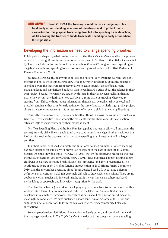**ouR AdviCE From 2013/14 the Treasury should revise its budgetary rules to treat early action spending as a form of investment and to protect funds earmarked for this purpose from being diverted into spending on acute action, whilst allowing the transfer of funds from acute spending to early action where this is possible.**

#### Developing the information we need to change spending priorities

Public policy is shaped by what can be counted. In *The Triple Dividend* we described the process which led to the significant increase in preventative spend in Scotland. Influential evidence cited by Scotland's Futures Forum showed that as much as 40% to 45% of government spending was 'negative' – short-term spending to address pre-existing social problems (Scottish Parliament Finance Committee, 2011).

We have referenced this many times in local and national conversations over the last eight months and noted three things. First, how little is currently understood about the balance of spending across the spectrum from preventative to acute services. Most officials, many managing large and sophisticated budgets, won't even hazard a guess about the balance in their own service. Second, how many are struck by this gap in their knowledge realising that, no matter how certain the destination you can't plan a route without knowing where you're starting from. Third, without robust information, rhetoric can overtake reality, as vocal and probably genuine enthusiasm for early action, or the lure of one particularly high-profile project, cloaks a meagre or nonexistent shift in resource (often even a slide in the wrong direction).

This is the case in town halls, police and health authorities across the country as much as in Whitehall. Even charities, those among the most enthusiastic cheerleaders for early action, often struggle to identify how early their money is spent.

Ten-Year Spending Plans and the Ten-Year Test (applied not just in Whitehall but across the sectors) are only viable if we are able to fill these gaps in our knowledge. Similarly, without this kind of information the treatment of early action spending as an investment will be largely pointless.

In a short paper, published separately, the Task Force collated examples of where spending has been classified on some form of prevention spectrum in the past. It didn't take us long, because we could only find three. The OECD's (2011) system for classifying health expenditure includes a 'prevention' category and the NSPCC (2011) have published a report looking at how children's social care spending breaks down (75% 'protective' and 25% 'preventative'). The youth justice board spent 7% of its funding on prevention in 2010 (Home Affairs Committee, 2010) and the amount has decreased since (Youth Justice Board, 2011). All used different definitions of prevention, making it extremely difficult to draw wider conclusions. There are no doubt some other studies within certain fields, but it is clear there is no coherent, shared methodology or approach, and little wider recognition for the work.

The Task Force has begun work on developing a system ourselves. We recommend that this work be taken forward by an independent body like the Office for National Statistics, and developed into a mature framework under which debates about early action spending can be meaningfully conducted. We have published a short paper exploring some of the issues and suggesting a set of definitions to form the basis of a system. (www.community-links.org/ earlyaction)

We compared various definitions of prevention and early action, and combined these with the language introduced in *The Triple Dividend* to arrive at three categories, where enabling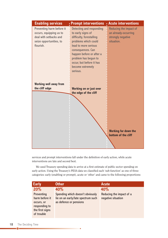| <b>Enabling services</b>                                                                                               | : Prompt interventions                                                                                                                                                                                                                                                | Acute interventions                                                               |
|------------------------------------------------------------------------------------------------------------------------|-----------------------------------------------------------------------------------------------------------------------------------------------------------------------------------------------------------------------------------------------------------------------|-----------------------------------------------------------------------------------|
| Preventing harm before it<br>occurs, equipping us to<br>deal with setbacks and<br>seize opportunities, to<br>flourish. | <b>Detecting and responding</b><br>to early signs of<br>difficulty, forestalling<br>problems which could<br>lead to more serious<br>consequences. Can<br>happen before or after a<br>problem has begun to<br>occur, but before it has<br>become extremely<br>serious. | Reducing the impact of<br>an already-occurring<br>strongly negative<br>situation. |
| <b>Working well away from</b><br>the cliff edge                                                                        | <b>Working on or just over</b><br>the edge of the cliff                                                                                                                                                                                                               | <b>Working far down the</b>                                                       |
|                                                                                                                        |                                                                                                                                                                                                                                                                       | bottom of the cliff                                                               |

services and prompt interventions fall under the definition of early action, while acute interventions are late and second best.

We used Treasury spending data to arrive at a first estimate of public sector spending on early action. Using the Treasury's PESA data we classified each 'sub-function' as one of three categories: early (enabling or prompt), acute or 'other' and came to the following proportions:

| <b>Early</b>                                                                   | <b>Other</b>                                                 | Acute                    |
|--------------------------------------------------------------------------------|--------------------------------------------------------------|--------------------------|
| 20%                                                                            | 40%                                                          | 40%                      |
| Preventing                                                                     | Spending which doesn't obviously                             | Reducing the impact of a |
| harm before it<br>occurs, or<br>responding to<br>the first signs<br>of trouble | lie on an early/late spectrum such<br>as defence or pensions | negative situation       |

 $\bullet$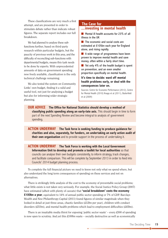These classifications are very much a first attempt, and are presented in order to stimulate debate rather than indicate robust figures. The separate report includes our full breakdown.

We had planned to analyse these subfunctions further, based on third-party research within particular budgets, but the paucity of previous work in this area, and the difficulty of reconciling sub-functions with departmental budgets, means this task needs to be done by experts. With unprecedented amounts of data on government spending now freely available, classification is the only technical challenge remaining.

We also tested the system on Community Links' own budget, finding it a valid and useful tool, not just for analysing a budget but also for informing wider strategic planning.

#### **The Case for**

#### **...investing in mental health**

 $\blacksquare$  Mental ill health accounts for 23% of all illness in the UK

 $\blacksquare$  The economic and social costs are estimated at £105bn each year for England alone, and rising rapidly.

**n** A wide range of programmes have been proven to improve mental health and save money, often within a fairly short time.

 $\blacksquare$  Yet only 4% of the health budget is spent on prevention, and an even smaller proportion specifically on mental health.

#### **it's time to decide: ward off mental health problems early, or deal with the consequences later on.**

Sources: Centre for Economic Performance (2012), Centre for Mental Health (2010) Knapp et al (2011), Butterfield et al (2009)

**ouR AdviCE The office for national Statistics should develop a method of classifying public spending along an early-late axis.** This should begin in time to form part of the next Spending Review and become integral to analysis of government spending.

**ACTion undERWAy The Task force is seeking funding to produce guidance for charities and also, separately, for funders, on undertaking an early action audit of their own organisation** and to provide support in the process of undertaking it.

**ACTion undERWAy The Task Force is working with the Local government information unit to develop and promote a toolkit for local authorities** so that councils can analyse their own budgets consistently, to inform strategy, track changes, and facilitate comparison. This will be complete by September 2013 in order to feed into Councils' 2014 budget planning process.

To complete the full financial picture we need to know not only what we spend where, but also understand the long term consequences of spending on these services and not on alternatives.

There is strikingly little analysis of the cost to the economy of preventable social problems; what little exists is not taken very seriously. For example, the Social Justice Policy Group (2007) have estimated (albeit with plenty of caveats) that **'social breakdown' costs the economy £100bn a year**, equivalent to 14% of annual public sector spending or 7% of GDP. Barclays Wealth and New Philanthropy Capital (2011) found figures of similar magnitude when they looked in detail at just three areas, chaotic families (£12bn per year), children with conduct disorders (£51bn), and mental health problems which lead to employment difficulties (£45bn).

There is an insatiable media thirst for exposing 'public sector waste' – every  $\text{\pounds}500$  of spending is now open to scrutiny. And yet this  $\pounds100$ bn waste – socially destructive as well as economically

The Deciding Time 19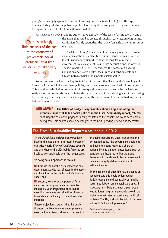profligate – is largely ignored in favour of hunting down the first-class flight or the expensive biscuits. Perhaps it's too large to comprehend, or thought too complicated to grasp or maybe the figures just aren't robust enough to be credible.

An independent body providing authoritative estimates of the costs of acting too late, and of

There is strikingly little analysis of the cost to the economy of preventable social problems; what little exists is not taken very seriously

the assets that could be created through an early-action programme, would significantly strengthen the hand of an early-action minister or manager.

The Office of Budget Responsibility is already required to produce an analysis of the sustainability of public finances once a year. The Fiscal Sustainability Report looks at the long-term impact of government policies on debt, taking into account trends in revenue. The last report (OBR, 2012) considered the impact of an ageing population and related health, social care and pension costs and already noted a major problem with sustainability.

We recommend it widen this inquiry to take into account the likely trend of spending and future liabilities of all of government policies, from the environment and health to social justice. This would provide vital information for future spending reviews; and could be the basis for setting short to medium-term goals to tackle these issues and for developing plans for delivering them. Initially, the analysis may be incomplete but this is no reason to delay embarking on the task as soon as possible.

**ouR AdviCE The office of Budget Responsibility should begin isolating the economic impact of failed social policies in the Fiscal Stainability report,** robustly capturing the cost we're paying for acting too late and the benefits we could accrue from acting now. This analysis should be integral to the next Spending Review, and thereafter.

#### **The Fiscal Sustainability Report: what it said in 2012**

'In the Fiscal Sustainability Report we look beyond the medium-term forecast horizon of our twice-yearly Economic and fiscal outlooks and ask whether the UK's public finances are likely to be sustainable over the longer term.

'In doing so our approach is twofold:

 $\blacksquare$  first, we look at the fiscal impact of past government activity, as reflected in the assets and liabilities on the public sector's balance sheet; and

 $\blacksquare$  second, we look at the potential fiscal impact of future government activity, by making 50-year projections of all public spending, revenues and significant financial transactions, such as government loans to students.

'These projections suggest that the public finances are likely to come under pressure over the longer term, primarily as a result of an ageing population. Under our definition of unchanged policy, the government would end up having to spend more as a share of national income on age-related items such as pensions and health care. But the same demographic trends would leave government revenues roughly stable as a share of national income.

'In the absence of offsetting tax increases or spending cuts this would widen budget deficits over time and eventually put public sector net debt on an unsustainable upward trajectory. It is likely that such a path would lead to lower long-term economic growth and higher interest rates, exacerbating the fiscal problem. The UK, it should be said, is far from unique in facing such pressures.'

Fiscal Sustainability Report, July 2012, Office of Budget Responsibility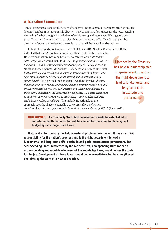#### A Transition Commission

These recommendations would have profound implications across government and beyond. The Treasury can begin to move in this direction now as plans are formulated for the next spending review but further thought is needed to inform future spending reviews. We suggest a cross party 'Transition Commission' to consider how best to meet the Ten Year Test, to plot the direction of travel and to develop the tools that that will be needed on the journey.

In his Labour party conference speech (1 October 2012) Shadow Chancellor Ed Balls

indicated that though politically ambitious this is not wholly impossible. He promised that an incoming Labour government would *'do things differently'*, which would include *'not slashing budgets without a care in the world … but assessing every pound of taxpayer's money, including for its impact on growth and fairness … Not opting for short-term cuts that look 'easy' but which end up costing more in the long-term – like deep cuts to youth services, to adult mental health services and to public health'* He expressed the hope that it wouldn't involve *'ducking the hard long-term issues we know we haven't properly faced up to and which transcend parties and parliaments and where we badly need a cross-party consensus'*. He continued by proposing *'… a long-term plan to support the most vulnerable in our society – looked-after children and adults needing social care'.* The underlying rationale to the approach, says the shadow chancellor, *'is not just about policy, but about the kind of country we want to be and the way we do our politics'.* (Balls, 2012)

Historically, the Treasury has held a leadership role in government ... and is the right department to lead a fundamental and long-term shift in attitude and performance

**ouR AdviCE A cross party 'transition commission' should be established to consider in depth the tools that will be needed for transition to planning and budgeting on a longer time frame.**

**historically, the Treasury has held a leadership role in government. it has an explicit responsibility for the nation's progress and is the right department to lead a fundamental and long-term shift in attitude and performance across government. Ten year Spending Plans, buttressed by the Ten year Test, new spending rules for early action spending and rapid development of the knowledge base, would deliver the tools for the job. development of these ideas should begin immediately, but be strengthened over time by the work of a new commission.**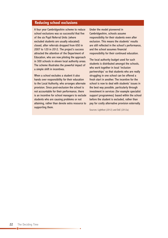#### **Reducing school exclusions**

A four year Cambridgeshire scheme to reduce school exclusions was so successful that five of the six Pupil Referral Units (where excluded students are usually educated) closed, after referrals dropped from 650 in 2007 to 120 in 2012. The project's success attracted the attention of the Department of Education, who are now piloting the approach in 300 schools in eleven local authority areas. The scheme illustrates the powerful impact of a simple shift in incentives.

When a school excludes a student it also hands over responsibility for their education to the Local Authority, who arranges alternate provision. Since post-exclusion the school is not accountable for their performance, there is an incentive for school managers to exclude students who are causing problems or not attaining, rather than devote extra resource to supporting them.

Under the model pioneered in Cambridgeshire, schools assume responsibility for their students even after exclusion. This means the students' results are still reflected in the school's performance, and the school assumes financial responsibility for their continued education.

The local authority budget used for such students is distributed amongst the schools, who work together in local 'inclusion partnerships' so that students who are really struggling in one school can be offered a fresh start in another. The incentive for the school is now to deal with students' issues in the best way possible, particularly through investment in services (for example specialist support programmes) based within the school before the student is excluded, rather than pay for costly alternative provision externally.

Sources: Lightfoot (2012) and DoE (2012a)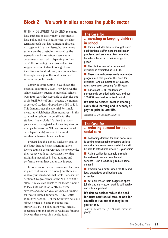## **Block 2 We work in silos across the public sector**

**WiThin dELivERy AgEnCiES**, including local authorities, government departments, local police and health authorities, the shortterm approach that has hamstrung financial management is also an issue, but even more serious are the constraints imposed by the separation and silos between services or departments, each with disparate priorities, carefully preserving their own budget. We suggest a series of ideas to realign these incentives in the short term, as a prelude to a thorough redesign of the local delivery of services for public benefit.

Cambridgeshire Council have shown the potential (Lightfoot, 2012). They devolved the school exclusion budget to individual schools. Over four years they were able to close five out of six Pupil Referral Units, because the number of excluded students dropped from 650 to 120. This demonstrates the potential for simple measures which better align incentives – in this case making schools responsible for the students they exclude. It's clear that across policy areas, managerial and spending silos (for example between the NHS and council social care departments) are one of the most substantial barriers to early action.

Projects like this School Exclusion Trial or the Youth Justice Reinvestment initiative (where councils are given extra money provided they reduce youth custody rates) show that realigning incentives in both funding and performance can have a dramatic impact.

In some areas there are formal mechanisms in place to allow shared funding but these are relatively unusual and small-scale. For example, Section 256 agreements (of the NHS Act 2006) allow Primary Care Trusts to reallocate funding to local authorities for jointly-delivered services, and Section 75 allows pooled funding for 'health-related' functions. (DCLG, 2010). (Similarly, Section 10 of the Children's Act 2004 allows a range of bodies including local authorities, PCTs, police authorities, schools, Jobcentre Plus and others to reallocate funding between themselves via a pooled fund).

#### **The Case for**

#### **...investing in keeping children in school**

 $\blacksquare$  Pupils excluded from school get fewer qualifications, suffer more mental health problems, and are more likely to end up homeless, be victim of crime or go to prison

 $\blacksquare$  The lifetime cost of a permanent exclusion is estimated at £64,000

 $\blacksquare$  There are well-proven early intervention programmes that prevent the need for exclusion (and as indication of success, rates have been dropping for 15 years)

But almost 6,000 students are permanently excluded each year, and over 300,000 banished for a fixed period.

**it's time to decide: invest in keeping every child learning and in school, or pay the price in later life.**

Sources: DoE (2012b), Eastman (2011)

#### **...reducing demand for adult social care The Case for**

 $\blacksquare$  Ballooning demand for adult social care is putting unsustainable pressure on local authority finances – many predict they will be able to afford little else in 10 year's time

 $\blacksquare$  Acting earlier, for example through home-based care and reablement services – can dramatically reduce acute demand

 $\blacksquare$  It works even better when the NHS and local authorities pool budgets and expertise

 $\blacksquare$  Yet only 4% of their budgets is spent jointly, and early action work is still patchy and often superficial.

**it's time to decide: reduce the need for acute adult social care, or wait for councils to run out of money in ten year's time.**

Sources: Thraves et al (2012), Audit Commission (2009)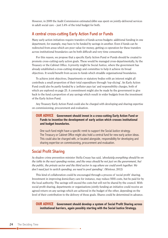However, in 2009 the Audit Commission estimated £4bn was spent on jointly-delivered services in adult social care – just 3.4% of the total budget for both.

#### A central cross-cutting Early Action Fund or Funds

Many early action initiatives require transfers of funds across budgets: additional funding in one department, for example, may have to be funded by savings in another. Even if funds can be redirected from areas which are poor value for money, getting co-operation for these transfers across institutional boundaries can be both difficult and very time consuming.

For this reason, we propose that a specific Early Action Fund or Funds should be created to promote cross-cutting early action goals. These would be managed cross-departmentally, by the Treasury or the Cabinet Office. A priority might be Social Justice, where the government has already established a cross-cutting strategy and committee to help it achieve its broad objectives. It would benefit from access to funds which straddle organisational boundaries.

To achieve joint objectives, Departments or statutory bodies with an interest might all contribute a small proportion of their total expenditure through 'top-slicing'. An Early Action Fund could also be partly funded by a 'polluter pays tax' and responsibility charges, both of which are explored on page 25. A commitment might also be made by the government to give back to the fund a proportion of any savings which result in wider budgets from the investment of the Early Action Fund.

Any Treasury Early Action Fund could also be charged with developing and sharing expertise on commissioning, procurement and evaluation.

#### **ouR AdviCE government should invest in a cross-cutting Early Action Fund or Funds to incentise the development of early action which crosses institutional and budget boundaries.**

One such fund might have a specific remit to support the Social Justice strategy. The Treasury or Cabinet Office might also hold a central fund for new early action ideas. This could also be charged with, or located alongside, responsibility for developing and sharing expertise on commissioning, procurement and evaluation.

#### Social Profit Sharing

As shadow crime prevention minister Stella Creasy has said, *'absolutely everything should be on the table in the next spending review, and the onus should be not just on the government, but the public, the private sector and the third sector to say where we could work together. We don't need just to switch spending, we need to pool spending'.* (Wintour, 2012)

This kind of collaboration could be encouraged through a process of 'social profit' sharing. Investment in improving domiciliary care for instance, may reduce NHS costs, but be paid for by the local authority. The savings will exceed the costs but will not be shared by the council. With social profit sharing, departments or organisations jointly funding an initiative could receive an agreed return on any savings which are achieved in the budget of the other, depending on the level of their contribution to the delivery of those goals. Shares could be determined in advance.

**ouR AdviCE government should develop a system of Social Profit Sharing across institutional barriers, again possibly starting with the Social Justice Strategy.**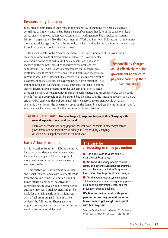#### Responsibility Charging

Rigid budget boundaries are not only an inefficient way of spending they can also actively contribute to higher costs. In *The Triple Dividend* we noted that 42% of the capacity of legal advice agencies in Nottingham was taken up with work generated by mistakes or 'systems failure' in organisations like the Department for Work and Pensions. This meant that the money directed to advice agencies from, for example, the Legal Aid budget or Local Authority contracts is used to pay for errors in other departments.

Because budgets are fragmented, departments are often unaware of the costs they are

creating in other parts of government or elsewhere. Government's role should not be confined to funding early solutions but also to identifying the points where it contributes to the problem. We suggested in *The Triple Dividend* a mechanism that records these mistakes, feeds them back to their source and creates an incentive to correct them. Such 'Responsibility Charges' would effectively require government agencies to pay for clearing up their own mistakes. They might be levied on, for instance, a local authority that fails to enforce alcohol licensing laws preventing under-age drinking, or on a school

'Responsibility Charges' would effectively require government agencies to pay for clearing up their own mistakes

using an excessive exclusion policy to enhance performance figures. Another area which could benefit from this approach might be around 'bed blocking' and the interface between social care and the NHS. Applying the 'polluter pays' principle across government would act as an economic incentive for the department creating the demand to address the causes or, if it didn't, release a new income stream for the resolution of those mistakes.

#### **ACTion undERWAy We have begun to explore Responsibility Charging with several agencies, local and national.**

There are precedents for applying the 'polluter pays' principle in other ways across government and we think there is mileage in Responsibility Charging. We will be pursuing these ideas in the next year.

#### Early Action Premiums

An 'Early Action Premium' might be instituted for early action that would otherwise reduce income, for example, a GP who helps build a more healthy community and consequently sees fewer patients.

This might work like payment by results and Social Impact Bonds, with payments made from the cross-cutting Early Action Fund or Funds offering a range of incentives for commissioners to develop and to pay for cross cutting outcomes. Initial payments might be made for promising early action initiatives, with a final premium paid if the initiative achieves the full results. These payments might compensate for extra costs or for losses resulting from reduced demand.

#### **The Case for**

#### **...investing in crime prevention**

 $\blacksquare$  The direct cost of youth crime is estimated at £4bn a year

 $\blacksquare$  We know why young people commit crime, and several successful programmes, such as the Youth Inclusion Programme, have shown how to prevent them doing it

 $\blacksquare$  Yet the youth justice system spends 11 times as much imprisoning young people as it does on preventing crime, and the prevention budget is falling.

**it's time to decide: work with young people before they commit crime, or leave them to get caught in a spiral with few ways out.**

Sources: Youth Crime Commission (2012), Roe and Ashe (2008), Mackie et al (2008), CSJ (2012)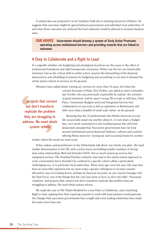A related idea was proposed to us by Jonathan Todd who is advising Action for Children. He suggests that outcomes might be agreed between government and individual local authorities. If and when those outcomes are achieved the local authority would be allowed to increase business rates.

**ouR AdviCE government should develop a system of Early Action Premiums operating across institutional barriers and providing rewards that are linked to outcomes.**

#### A Duty to Collaborate and a Right to Lead

It is arguable whether silo budgeting and misaligned incentives are the cause or the effect of professional boundaries and rigid bureaucratic structures. Either way the two are inextricably entwined. Just as the critical shift to earlier action requires the dismantling of the financial disincentives and rebuilding of systems for budgeting and accounting so too does it demand the whole system reform of services on the ground.

Ministers have talked about 'joining up' services for more than 15 years, but when the

…projects that connect but don't transform replicate the problem they are struggling to address. We need whole system reform

current Secretary of State, Eric Pickles, was asked at select committee last October who was previously responsible he replied, 'the minister of good intentions' and he wasn't wrong. We've had, or still have, Total Place, Community Budgets and Local Integrated Services but collaboration on any scale is still an aspiration in Westminster and little more than a handful of small scale 'pilots' on the ground.

Knowing that the 15 professionals who fitfully intervene in your life occasionally email one another about it, or even share a budget line, isn't much consolation to the troubled parent who still feels desperately unsupported. Successive governments have tip-toed around institutional and professional fiefdoms, cultures and customs offering flimsy prizes for 'joining up' and occasional funds for another

worker where the needs are most acute.

Policy makers and practitioners in the Netherlands talk about 'one family, one plan'. We need similar determination in the UK, with a policy focus on building smaller numbers of strong deep-value relationships (Bell and Smerdon 2010). Not so much joined up services but integrated services. The Troubled Families initiative may lead to this whole system approach in some communities but it shouldn't be confined to a specific cohort, albeit a particularly challenging one, or to particular local authorities. Three years ago, even last year, this may have been an unworldly aspiration but we sense today a greater willingness to at least consider alternative ways of working driven, perhaps by financial necessity. As one council manager told the Task Force 'one of the things that the cuts have done is force us all to the table'. Piecemeal 'solutions' and projects that connect but don't transform replicate the problem they are struggling to address. We need whole system reform.

We made the case in *The Triple Dividend* for a new Duty to Collaborate, and a matching Right to lead, arguing then that requiring councils to work with local partners would generate the changes that successive governments have sought and some leading authorities have made but many more have not.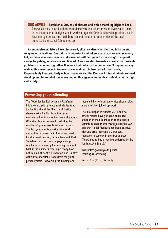**ouR AdviCE Establish a duty to collaborate and with a matching Right to Lead**. This would require local authorities to demonstrate local progress on involving partners in the integration of budgets and in working together. Other local service providers would have the right to lead such collaboration and require the cooperation of the local authority if the council fails to step up.

**As successive ministers have discovered, silos are deeply entrenched in large and complex organisations. Specialism is important and, of course, divisions are necessary but, as those ministers have also discovered, without 'joined up working' change will always be patchy, small-scale and limited. A serious shift towards a society that prevents problems from occurring rather than one that picks up the pieces, won't happen on any scale in this environment. We need sticks and carrots like Early Action Funds, Responsibility Charges, Early Action Premiums and the Minister for good intentions must stand up and be counted. Collaborating on this agenda and in this context is both a right and a duty.**

#### **Preventing youth offending**

The Youth Justice Reinvestment Pathfinder Initiative is a pilot project in which the Youth Justice Board and the Ministry of Justice devolve extra funding from the central custody budget to some local authority Youth Offending Teams, for use in reducing the number of young people entering custody. The two year pilot is working with local authorities or consortia in four areas (east London, west London, Birmingham and West Yorkshire), and is run on a payment-byresults basis, whereby the funding is clawed back if the numbers entering custody have not fallen sufficiently. Prevention work is often difficult to undertake from within the youth justice system – devolving the funding and

responsibility to local authorities should allow more effective, joined up, work.

The pilot began in Autumn 2011 and no official results have yet been published, although in their submission to the Justice Committee enquiry into youth justice the LGA said that 'initial feedback has been positive, with one area reporting a 7 per cent reduction in custody in the first quarter (figure not at time of writing endorsed by the Youth Justice Board).'

www.justice.gov.uk/youth-justice/ reducing-re-offending

Sources: Blunt (2011), LGA (2012)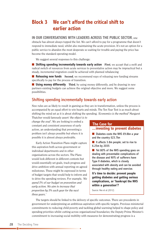## **Block 3 We can't afford the critical shift to earlier action**

#### **in ouR ConvERSATionS WiTh LEAdERS ACRoSS ThE PuBLiC SECToR**, one

obstacle has almost always topped the list. We can't afford to pay for a programme that doesn't respond to immediate need, whilst also maintaining the acute provision. It's not an option for a public service to abandon the most desperate so waiting for trouble and paying the price has become the standard operating model.

We suggest several responses to this challenge:

n **Shifting spending incrementally towards early action First**, we accept that a swift and radical switch of resources from acute services to preventative action may be impractical but a steady, incremental migration could be achieved with planned rebalancing

**n Releasing new funds** Second, we recommend ways of releasing new funding streams specifically to pay for the process of transition.

**using money differently** Third, by using money differently, and by drawing in new partners existing budgets can achieve the original objective and more. We suggest some possibilities.

#### Shifting spending incrementally towards early action

New rules are as likely to result in gaming as they are in transformation, unless the process is accompanied by an equal effort to win hearts and minds. The Ten Year Test is as much about shifting the mind set as it is about shifting the spending. *'Economics is the method'* Margaret

Thatcher would famously assert *'the object is to change the soul'*. We are looking to embed a constant and consistent awareness of early action, an understanding that preventing a problem isn't always possible but where it is possible it is almost always preferable.

Early Action Transition Plans might capture this aspiration both across government or individual departments and in other organisations across the sectors. The Plans would look different in different contexts but would essentially set goals, track progress and drive ambition with annual reporting on agreed milestones. These might be expressed in terms of budget targets that would help to inform and to drive the spending reviews. For example, *'We spend 5% of our budget on prevention and early action. We aim to increase that proportion by 5% each year for the next three years.'*

#### **The Case for**

#### **...investing to prevent diabetes**

 $\blacksquare$  Diabetes costs the NHS £9.8bn a year and the country £23.7bn

- $\blacksquare$  It affects 3.8m people; set to rise to 6.25m by 2035
- $\blacksquare$  Yet 80% of the NHS spending goes on dealing with preventable complications of the disease and 90% of sufferers have Type II diabetes, which is closely associated with obesity and can be avoided through healthy eating and exercise.
- **it's time to decide: prevent people getting diabetes and getting serious complications, or 'bankrupt the nhS within a generation'?**

Source: Hex et al (2012)

The targets should be linked to the delivery of specific outcomes. There are precedents in government for underpinning an ambitious aspiration with specific targets. Previous ministerial commitments to reducing child poverty and tackling global warming helped to shape policy and spending priorities whilst cutting across organisational boundaries; the Deputy Prime Minister's commitment to increasing social mobility with measures for demonstrating progress is a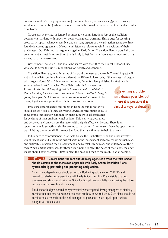current example. Such a programme might ultimately lead, as has been suggested in Wales, to results-based accounting, where expenditure would be linked to the delivery of particular results or outcomes.

Targets can be revised, or ignored by subsequent administrations just as the coalition government has done with targets on poverty and global warming. This argues for securing cross-party support wherever possible, and on many aspects of the early action agenda we have found widespread agreement. Of course ministers can always unwind the decisions of their predecessors but if this was an argument against Early Action Transition Plans it would also be an argument against doing anything that is likely to last for more than a year or two, and that's no way to run a government.

Government Transition Plans should be shared with the Office for Budget Responsibility, who should agree the future implications for growth and spending.

Transition Plans are, in both senses of the word, a measured approach. The full impact will not be immediate, but imagine how different the UK would look today if the process had begun with targets of just 2% or 3% when, for instance, Derek Wanless published his first health

service review in 2002, or when Tony Blair made his first speech as Prime minister in 1997 arguing that *'it is better to help a child at six than when they have become a criminal at sixteen … better to bring (a young teenager) back into education now than to wait for them to be unemployable in five years time'*. Better slow fix than no fix.

preventing a problem isn't always possible, but where it is possible it is almost always preferable

If we expect transparency and ambition from the public sector we should expect it also of others delivering services for the public good. It is becoming increasingly common for major funders to ask applicants for evidence of their environmental policies. This is driving awareness and behavioural change across the sector with a ripple effect well beyond. There is an opportunity to do something similar around earlier action. Grant makers have the opportunity,

we might say the responsibility, to not just fund the transition but to help to drive it.

Public service commissioners, charitable trusts, the Big Lottery Fund and other investors might incentivise and sustain the critical shift in the independent sector by requiring such plans, and critically, supporting their development, and by establishing plans and milestones of their own. When a grant seeker asks for three-year funding to meet the needs at their door, the grant maker should offer five years – first to meet the need and then to reduce it. That or nothing.

#### **ouR AdviCE government, funders and delivery agencies across the third sector should commit to the measured approach with Early Action Transition Plans systematically protecting and promoting early action.**

Government departments should act on the Budgeting Guidance for 2012/13 and commit to rebalancing expenditure with Early Action Transition Plans visibly charting progress and should work with the Office for Budget Responsibility on agreeing the future implications for growth and spending.

Third sector budgets should be systematically interrogated driving managers to similarly consider not just how do we meet this need but how do we reduce it. Such plans should be considered as essential to the well managed organisation as an equal opportunities policy or an annual audit.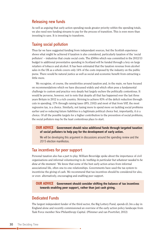#### Releasing new funds

As well as arguing that early action spending needs greater priority within the spending totals, we also need new funding streams to pay for the process of transition. This is even more than investing to save. It is investing to transform.

#### Taxing social pollution

Thus far we have suggested funding from independant sources, but the Scottish experience shows what might be achieved if taxation is also considered, particularly taxation of the 'social polluters' – industries that create social costs. The £500m which was committed in the 2012/13 budget to additional preventative spending in Scotland will be funded through a levy on large retailers of tobacco and alcohol. It has been estimated that the taxation revenue from alcohol sales in the UK as a whole covers only 14% of the costs imposed by the industry on the public purse. There would be natural justice as well as social and economic benefit from extracting a little more.

We recognise, of course, the sensitivities around taxation and, in the main, we have focused on recommendations which we have discussed widely and which often pose a fundamental challenge to custom and practice very deeply but largely eschew the politically contentious. It would be perverse, however, not to note that despite all that has happened over the last three years Britain in 2012 is a rich country. Striving to achieve 83% of the deficit reduction through cuts in spending, 17% through raising taxes (IFS, 2102) and most of that from VAT, the most regressive tax, is a choice. Similarly, not taxing more to spend more on tackling social problems earlier and so reducing future liabilities is a legitimate political choice but, importantly, it *is* a choice. Of all the possible targets for a higher contribution to the prevention of social problems, the social polluters may be the least contentious place to start.

#### **ouR AdviCE government should raise additional funds through targeted taxation of social polluters to help pay for the development of early action.**

We will be developing this argument in discussions around the spending review and the 2015 election manifestos.

#### Tax incentives for peer support

Personal taxation also has a part to play. William Beveridge spoke about the importance of civil organisations and informal volunteering to do *'nothing in particular but whatever needed to be done at the moment.'* We know that some of the best early action arises from informal associational life, often one-to-one relationships. Governments have used the tax system to incentivise the giving of cash. We recommend that tax incentives should be considered for also, or even alternatively, encouraging and enabling peer support.

#### **ouR AdviCE government should consider shifting the balance of tax incentives towards enabling peer support, rather than just cash giving.**

#### Dedicated Funds

The largest independent funder of the third sector, the Big Lottery Fund, spends £1.3m a day in England alone and recently commissioned an overview of the early action policy landscape from Task Force member New Philanthropy Capital. (Plimmer and van Poortvliet, 2012)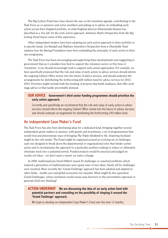The Big Lottery Fund have have shown the way on the transition agenda, contributing to the Task Force as co-sponsors and active members and asking us to advise on embedding early action across their England portfolio, in what England director Dharmendra Kanani has described as a 'live lab' for the early action approach. Ambreen Shah's *Perspective from the Big Lottery Fund* shares some of this experience.

Other independent funders have been adopting an early action approach to their portfolio or to specific funds. Joe Randall and Matthew Smerdon's *Perspective from a Charitable Trust* explains how the Baring Foundation have been embedding the principles of early action in their new programme.

The Task Force has been encouraging and supporting these developments and suggesting to government that as it considers how best to support the voluntary sector, in this time of 'transition', it too should increasingly look to support early action approaches. For example, we have specifically proposed that the role and value of early action in advice services should inform the ongoing Cabinet Office review into the future of advice services, and should underpin the arrangements for distributing the forthcoming £40 million fund for advice services for 2013- 2015. Priorities might include both the funding of projects that build readiness, that offer early stage advice or that tackle preventable demand.

#### **ouR AdviCE government's third sector funding programmes should prioritise the early action approach.**

Currently and specifically we recommend that the role and value of early action in advice services should inform the ongoing Cabinet Office review into the future of advice services and should underpin arrangements for distributing the forthcoming £40 million fund.

#### An independent Case Maker's Fund

The Task Force has also been developing ideas for a dedicated fund, bringing together several independent grant-makers to sponsor, with grants and investment, a set of programmmes that would trial and demonstrate ways of bringing *The Triple Dividend* to life. Inspiring Scotland might be the role model. The Fund might be organised around an evolving set of challenges, each one designed to break down the departmental or organisational silos that hinder earlier action and to revolutionise the approach to a particular problem seeking to reduce or ultimately eliminate need over a sustained period. Funded projects would be practical and judged on results not ideas – we don't want a report, we want a change.

In 1900, mathematician David Hilbert issued 23 challenges or unsolved problems which inspired a generation of mathematicians and a great wave of new ideas. Nearly all his challenges were resolved. More recently the 'Grand Challenge' approach has been adopted and adapted in other fields – health care and global economics for example. What might be the equivalent Grand Challenges, whose resolution would sweep away barrriers to the preventative approach or generate bold new thinking?

#### **ACTion undERWAy We are discussing the idea of an early action fund with potential partners and consulting on the possibilty of shaping it around the 'grand Challenge' approach.**

We hope to develop an independent Case Maker's Fund over the next 12 months.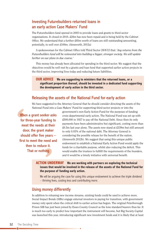#### Investing Futurebuilders returned loans in an early action Case Makers' Fund

The Futurebuilders fund opened in 2005 to provide loans and grants to third sector organisations. It closed in 2010. £28m has now been repaid and is being held by the Cabinet Office. We understand that a further £85m worth of loans are still outstanding amounting, potentially, to well over £100m. (Ainsworth, 2012a)

A spokeswoman for the Cabinet Office told Third Sector 28/8/12 that: *'Any returns from the Futurebuilders fund will be reinvested into building a bigger, stronger society. We will update further on our plans in due course.'*

This money has already been allocated for spending in the third sector. We suggest that the objectives would be well met by a grants and loan fund that supported earlier action projects in the third sector, improving lives today and reducing future liabilities.

#### **ouR AdviCE We are suggesting to ministers that the returned loans, or a significant proportion thereof, should be invested in a dedicated fund supporting the development of early action in the third sector.**

#### Releasing the assets of the National Fund for early action

We have suggested to the Attorney General that he should consider directing the assets of the National Fund into a Case Makers' Fund for supporting third sector projects or into the

When a grant seeker asks for three-year funding to meet the needs at their door, the grant maker should offer five years – first to meet the need and then to reduce it. That or nothing

government's own Early Action Fund for the purposes of funding cross-departmental early action. The National Fund was set up with £500,000 in 1927 to pay off the National Debt. Since then its only payments have been administrative but significant, costing more than £0.5m last year alone. The assets now stand at £339m but still amount to only 0.03% of the national debt. The Attorney General is considering the possible release for the benefit of the nation. (Ainsworth 2012b). We suggest that using this unique public endowment to establish a National Early Action Fund would apply the funds for a charitable purpose, whilst also reducing the deficit. This would enable the trustees to fullfill the requirements of the founders, and it would be a timely initiative with universal benefit.

**ACTion undERWAy We are working with partners on exploring the technical issues that would be involved in the release of the assets of the national Fund for the purpose of funding early action.**

We will be arguing the case for using this unique endowment to achieve the triple dividend – thriving lives, costing less and contributing more.

#### Using money differently

In addition to releasing new income streams, existing funds could be used to achieve more. Social Impact Bonds (SIBs) engage external investors in paying for transition, with government money only spent when the critical shift to earlier action has begun. The original Peterborough Prison SIB has just been joined by Essex County Council as the lone standard bearers thus far. It is much too early to predict how important the instrument will become, but Big Society Capital was launched this year, introducing significant new investment funds and it is likely that at least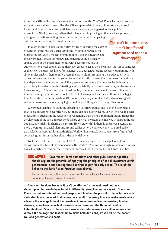three more SIBs will be launched over the coming months. The Task Force does not think that social finance and instruments like the SIB are appropriate in every circumstance and such investment does not, as some politicians have occasionally suggested, replace public expenditure. We do, however, believe that it has a part to play, bigger than we have yet seen, in paying for transition-funding the earlier action, without either paying out twice or abandoning the most desperate.

In essence, the SIB applies the future saving to covering the costs of prevention. If the project is successful, the investor is rewarded for bearing the risk with a modest premium. If not, it is the investor, not the government, that loses money. The principle could be equally applied without the social investor but with government, health authorities or a local council using their own assets to act as their own investor just as some act as their own insurers. We know, for instance, that a targeted reading recovery programme with six-year-olds enables them to fully access the curriculum throughout their education; with career guidance and mentoring young teens significantly increase their readiness for work; and that day-centres and improved domiciliary services can reduce the time needed in hospital, particularly for older patients. Offsetting a future liability with investment now, funded from the future saving, isn't how ministers framed the July announcement about the new influenza immunisation programme for school children but savings will accrue and these will be bigger than the costs of the immunisation. Of course it is socially desirable, but it also makes good economic sense and the operating logic could be usefully applied in many other areas.

Government should invest in the expectation of future savings and is often better placed than social investors to bear the risk, but there can be a higher degree of risk involved in social programmes, such as in the reduction of reoffending than there is in immunisation. Hence the development of the social impact bond, where external investors are involved in sharing the risk but also, potentially, in sharing the return. However, we think there is enormous potential for more thoughtful financial planning around earlier action, where outcomes are predictable particularly, perhaps, for local authorities. Work on home insulation paid for from future fuel cost savings, for instance, has shown the potential here.

We believe that there is a precedent. The Treasury have agreed to 'bank' potential future savings on welfare benefit payments to fund the Work Programme. Although in the short-run this has led to higher borrowing, the Treasury has accepted the case for reducing future liabilities.

**ouR AdviCE government, local authorities and other public sector agencies should explore the potential of applying the principles of social investment within government ie anticipating future savings to pay for early action. This might be linked to the Early Action Premium (see above).**

This might be one of the priority areas for the Social Justice Cabinet Committee to consider in the next phase of its work.

**The 'can't be done because it can't be afforded' argument need not be a showstopper, but we do have to think differently, stretching ourselves with Transition Plans that set considered but bold targets and funding the pursuit of those targets with dedicated funds. Some of that money may result from using financial instruments which advance the savings to fund the investment, some from redirecting existing funding streams, some from important decisions about taxation, the national Fund or Futurebuilders. Some of these ideas involve short-term losers as well as winners but, without the courage and leadership to make bold decisions, we will all be the poorer. We, and generations to come.**

The 'can't be done because it can't be afforded' argument need not be a showstopper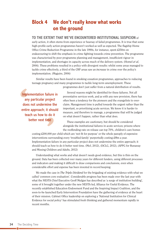## **Block 4 We don't really know what works on the ground**

#### **To ThE ExTEnT ThAT WE'vE EnCounTEREd inSTiTuTionAL SuSPiCion** of

early action, it often stems from experience or hearsay of failed programmes. It is true that some high-profile early action programmes haven't worked as well as expected. The flagship Home Office Crime Reduction Programme in the late 1990s, for instance, spent £250m on endeavouring to shift the emphasis in crime fighting towards crime prevention. The programme was characterised by poor programme planning and management, insufficient rigour in implementation, and shortages in capacity across much of the delivery system. (Homel *et al*, 2004). These problems resulted in a policy with divergent results: whilst some areas managed to tackle crime effectively, a third of the CRP areas saw an *increase* in crime over the policy's implementation. (Maguire, 2004)

Similar results have been found in smoking cessation programmes, approaches to reducing teenage pregnancy and many programmes to tackle long-term unemployment. These programmes don't just suffer from a natural distribution of results.

Implementation failure in any particular project does not undermine the entire approach; it should teach us how to do it better next time

Several reasons might be identified for these failures. Not all preventative services work, and as with any new provision, there has often been a tendency for the pioneers and the evangelists to overclaim. Management time is pulled towards the urgent rather than the important, so prioritising acute services. We know it is harder to measure, and therefore to manage, a programme that will be judged on what doesn't happen, rather than what does.

These examples are cautionary, but should be considered alongside the institutional failures in acute services; prisons where the reoffending rate on release can top 70%, children's care homes

costing £200,000 per child which are 'not fit for purpose' or the whole panoply of expensive interventions surrounding every 'troubled family' purportedly costing £9bn a year. Implementation failure in any particular project does not undermine the entire approach; it should teach us how to do it better next time. (MoJ, 2012), (DCLG, 2012), (APPG for Runaway and Missing Children and Adults, 2012)

Understanding what works and what doesn't needs good evidence, but this is thin on the ground. Data has been collected over many years for different funders, using different processes and indicators and making it difficult to draw comparisons and conclusions, even when considerable effort and expense has been invested in record keeping.

We made the case in *The Triple Dividend* for the brigading of existing evidence with what we called 'common core evaluation'. Considerable progress has been made over the last year with what the NESTA Chief Executive Geoff Mulgan has described as 'a surge of institution building', some of it brought together under the new NESTA-led, Alliance for Useful Evidence. The recently established Education Endowment Fund and the Inspiring Impact Coalition, and the soon-to-be-launched Early Intervention Foundation have the gathering of evidence at the heart of their mission. Cabinet Office leadership on exploring a 'National Institution for Clinical Evidence for social policy' has stimulated fresh thinking and gathered momentum rapidly in recent months.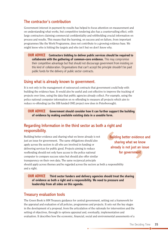#### The contractor's contribution

Government interest in payment-by-results has helped to focus attention on measurement and on understanding what works, but competitive tendering also has a countervailing effect, with large contractors claiming commercial confidentiality and withholding crucial information on process and results. This means that the learning, on success and on failure, from important programmes like the Work Programme, does not contribute to a growing evidence base. We might know who is hitting the targets and who isn't but we don't know why.

**ouR AdviCE Contractors bidding to deliver public services should be required to collaborate with the gathering of common-core evidence.** This may compromise their competitive advantage but that should not discourage government from insisting on this kind of collaboration. Organisations that can't accept the principle shouldn't be paid public funds for the delivery of public sector contracts.

#### Using what is already known to government.

It is not only in the management of outsourced contracts that government could help with building the evidence base. It would also be useful and cost-effective to improve the tracking of projects over time, using the data that public agencies already collect. For example, using the police national computer information on re-offending to measure all projects which aim to reduce re-offending (as the SIB funded ONE project now does in Peterborough).

**ouR AdviCE government should consider how it can further support the building of evidence by making available existing data in a useable form.**

#### Regarding Information in the third sector as both a right and responsibility.

Building better evidence and sharing what we know already is not just an issue for government. The same obligations should also apply across the sectors to all who are involved in funding or delivering services for public good. Projects aiming to reduce reoffending should not only have access to the police national computer to compare success rates but should also offer similar transparency on their own data. The same reciprocal principle

Building better evidence and sharing what we know already is not just an issue for government

should apply across themes and be regarded across the sectors as both a responsibility and a right.

**ouR AdviCE Third sector funders and delivery agencies should treat the sharing of evidence as both a right and a responsibility. We need to pressure and leadership from all sides on this agenda.**

#### Treasury evaluation tools

The Green Book is HM Treasury guidance for central government, setting out a framework for the appraisal and evaluation of all policies, programmes and projects. It sets out the key stages in the development of a proposal, from the articulation of the rationale for intervention and the setting of objectives, through to options appraisal and, eventually, implementation and evaluation. It describes how the economic, financial, social and environmental assessments of a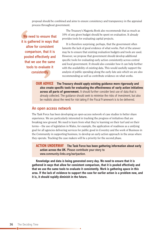proposal should be combined and aims to ensure consistency and transparency in the appraisal process throughout government.

We need to ensure that it is gathered in ways that allow for consistent comparison, that it is pooled effectively and that we use the same tools to evaluate it consistently

The Treasury's Magenta Book also recommends that as much as 10% of any given budget should be spent on evaluation. It already provides tools for evaluating capital projects.

It is therefore surprising, perhaps, that the government often laments the lack of good evidence of what works. Part of the answer may be to ensure that existing evaluation budgets and tools are used. However, we propose that government should develop additional specific tools for evaluating early action consistently across central and local government. It should also consider how it can help further with the availability of existing data. This would usefully support the analysis of public spending along the early-late axis which we are also recommending as well as contribute evidence on what works.

**ouR AdviCE The Treasury should apply existing guidance more rigorously and also create specific tools for evaluating the effectiveness of early action initiatives across all parts of government.** It should further consider best use of data that is already collected. The guidance should seek to minimise the risks of investment, but also be realistic about the need for risk taking if the Fiscal Framework is to be delivered.

#### An open access network

The Task Force has been developing an open-access network of case studies to better share experience. We are particularly interested in tracking the progress of initiatives that are breaking new ground. We need to learn from what they're learning on their turf and on their terms – the use of legislation in Wales, for example, the application of readiness as a unifying goal for all agencies delivering services for public good in Coventry and the work of Business in the Community in supporting business, to develop an early action approach in the areas where they operate. Tracking the case makers will be a priority for the second phase.

**ACTion undERWAy The Task Force has been gathering information about early action across the uk.** Please contribute your story to www.community-links.org/earlyaction.

**knowledge and data is being generated every day. We need to ensure that it is gathered in ways that allow for consistent comparison, that it is pooled effectively and that we use the same tools to evaluate it consistently. Work is gathering apace in this area. if the lack of evidence to support the case for earlier action is a problem now, and it is, it should rapidly diminish in the future.**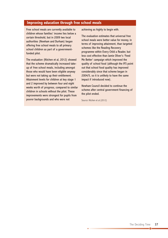#### **improving education through free school meals**

Free school meals are currently available to children whose families' income lies below a certain threshold, but in 2009 two local authorities (Newham and Durham) began offering free school meals to all primary school children as part of a governmentfunded pilot.

The evaluation (Kitchen et al, 2012) showed that the scheme dramatically increased takeup of free school meals, including amongst those who would have been eligible anyway but were not taking up their entitlement. Attainment levels for children at key stage 1 and 2 improved by between four and eight weeks worth of progress, compared to similar children in schools without the pilot. These improvements were strongest for pupils from poorer backgrounds and who were not

achieving as highly to begin with.

The evaluation estimates that universal free school meals were better value for money, in terms of improving attainment, than targeted schemes like the Reading Recovery programme within Every Child a Reader, but less cost effective than Jamie Oliver's 'Feed Me Better' campaign which improved the quality of school food (although the IFS point out that school food quality has improved considerably since that scheme began in 2004/5, so it is unlikely to have the same impact if introduced now).

Newham Council decided to continue the scheme after central government financing of the pilot ended.

Source: Kitchen et al (2012)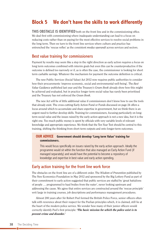## **Block 5 We don't have the skills to work differently**

**THIS OBSTACLE IS IDENTIFIED** both on the front line and in the commissioning office. We deal first with commissioning where inadequate understanding can lead to a focus on reducing costs rather than on paying for the most effective services to resolve social problems in the long term. Then we turn to the front line services where culture and practice has entrenched the 'rescue reflex' as the consistent *modus operandi* across services and sectors.

#### Best value training for commissioners

Payment by results may seem like a step in the right direction as early action requires a focus on long term outcomes combined with interim goals but even this can be counterproductive if the outcome is defined too narrowly or if, as is often the case, the commissioner is looking for short term cashable savings. Whatever the mechanism for payment the outcome definition is critical.

The new Public Services (Social Value) Act 2012 now requires public authorities to consider how their procurements 'improve economic, social and environmental well-being'. The *Best Value Guidance* published last year and the Treasury's *Green Book* already show how this might be achieved and evaluated, but in practice longer term social value has rarely been prioritised and the Treasury has not enforced the *Green Book*.

The new Act will be of little additional value if commissioners don't know how to use the tools that already exist. The cross-cutting Early Action Fund or Funds discussed on page 24 offers a locus around which to accumulate and share expertise in government, but we think there is an urgent need to further develop skills. Training for commissioners, focusing particularly on longterm social value and the issues raised by the early action approach is not a new idea, but it is the right one. Too much public money is spent by officials with very variable levels of relevant knowledge and appropriate experience. We think that the Ten Year Test should be central to this training, shifting the thinking from short-term outputs and onto longer-term outcomes.

#### **ouR AdviCE government should develop 'Long term value' training for commissioners.**

This would focus specifically on issues raised by the early action approach. Ideally the programme would sit within the function that also managed an Early Action Fund (if managed separately) and would have the potential to become a repository of knowledge and expertise in best value and early action spending.

#### Early action training for the front line work force

The obstacles on the front line are of a different order. The *Wisdom of Prevention* published by The New Economics Foundation in May 2012 and sponsored by the Big Lottery Fund as part of their commitment to early action suggested that public services are staffed by 'great battalions of people … programmed to haul bodies from the water', never looking upstream and addressing the cause. We agree that entire services are constructed around the 'rescue principle' writ large in training courses, job descriptions and performance management procedures.

Almost 200 years after Sir Robert Peel formed the British Police Force, senior officers often talk with reverence about their respect for the Peelian principles which, it is claimed, still lie at the heart of the modern police service. We wonder how many of their junior officers would correctly identify Peel's first principle: *'The basic mission for which the police exist is to prevent crime and disorder.***'**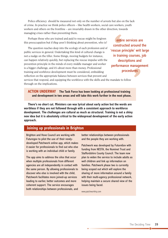Police efficiency should be measured not only on the number of arrests but also on the lack of crime. In practice we think police officers – like health workers, social care workers, youth workers and others on the frontline – are invariably drawn in the other direction, towards managing crises rather than preventing them.

Perhaps those who are trained and paid to rescue might be forgiven this preoccupation but if *they* aren't thinking about prevention, who is?

The question reaches deep into the ecology of each profession and of public services in general. Undertaking this kind of cultural change is not a nudge on the tiller. Some things, moving budgets for instance, can happen relatively quickly, but replacing the rescue impulse with the prevention principle in the minds of every middle manager and worker is a bigger challenge, and it's about more than money. Professional training and workforce development must be considered, embedding reflection on the appropriate balance between services that prevent and

entire services are constructed around the 'rescue principle' writ large in training courses, job descriptions and performance management procedures

services that respond, and equipping the workforce with the skills and the mandate to follow through on the implications.

**ACTion undERWAy The Task Force has been looking at professional training and development in two areas and will take this work further in the next phase.**

**There's no short cut. Ministers can wax lyrical about early action but the words are worthless if they are not followed through with a consistent approach to workforce development. The challenges are cultural as much as structural. Training is not a shiny new idea but it is absolutely critical to the widespread development of the early action approach.**

#### **Joining up professionals in Brighton**

Brighton and Hove Council are working with Futuregov to pilot the use of their newlydeveloped Patchwork online app, which makes it easier for professionals to find out who else is working with an individual child or family.

The app aims to address the silos that occur when multiple professionals from different agencies are all independently in contact with the same person. By allowing professionals to discover who else is involved with the child, Patchwork facilitates more joined-up services leading to earlier, better outcomes and more coherent support. The service encourages both relationships between professionals, and

better relationships between professionals and the people they are working with.

Patchwork was developed by FutureGov with funding from NESTA, the Nominet Trust and Staffordshire County Council. The team now plan to widen the service to include adults as well children and link up information on families. Patchwork phase two is currently being scoped out which will explore the sharing of more information around a family with their multi-agency professional network, helping maintain a secure shared view of the issues being faced.

www.patchworkhq.com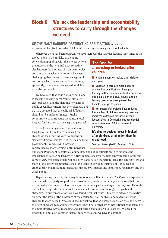## **Block 6 We lack the leadership and accountability structures to carry through the changes we need.**

**oF ThE MAny BARRiERS oBSTRuCTing EARLy ACTion** very few are

insurmountable. We know what it takes. Almost every one is a question of leadership.

Wherever there has been progress, we have seen over the last year leaders, sometimes at the top but often in the middle, challenging

convention, grappling with the choices between the future and the here-and-now, sometimes also between the interests of their own service and those of the wider community, between challenging themselves to break new ground and doing what they've always done because, apparently, no one ever gets sacked for doing what the last guy did.

We have seen that politicians are not alone in focusing on short-term results, although electoral cycles and the planning horizons of public expenditure mean that they often do, and we have accepted that the political difficulties should not be under-estimated. Public commitment to some acute spending, a local hospital for instance, can be deep and personal.

Strong leadership and accountabilty for long-term results are key to achieving the change we seek, starting with politicians but also extending to every layer of central and local government. Progress will always be constrained by short termism until individual

#### **...investing in looked after children The Case for**

 $\blacksquare$  £3bn is spent on looked after children each year

**n** Children in care are more likely to achieve low qualifications, have poor literacy, suffer from mental health problems and be a victim of sexual abuse, and on leaving care to be unemployed, be homeless, or go to prison

 $\blacksquare$  Yet successful projects have reduced the number of children entering care, and improved outcomes for those already looked after. In Denmark some residential care homes send 60% of leavers to university.

**it's time to decide: invest in looked after children, or abandon them in great need.**

Sources: Harker (2012), Bunting (2006)

Ministers, Permanent Secretaries, Councillors and public officials begin to embrace the importance of delivering fairness to future generations over the next ten years and beyond and come to view this task as their responsiblity. Early Action Transition Plans, the Ten Year Test and many of the other recommendations of the Task Force will be insufficient if they are not emphatically endorsed, monitored and enforced by Ministers and opposition, Parliament and the wider public.

Depoliticising these big ideas may be more realistic than it sounds. The Canadian experience of sustained cross-party support for a consistent approach to criminal justice shows that it is neither naïve nor impractical for the major parties in a parliamentary democracy to collaborate on the kind of agenda that cries out for sustained commitment to long-term goals and strategies. In our conversations we have found remarkably little difference between the parties on either the scale or the substance of the challenges, nor the shape and magnitude of the changes that are needed. Who could possibly believe that an obsessive focus on the short-term is the right approach to planning government spending, or that strict institutional boundaries are the most effective way of managing and delivering services for public benefit? We need the leadership to build on common sense, literally, the sense we have in common.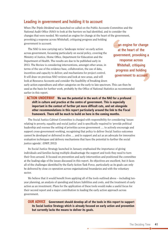#### Leading in government and holding it to account

When *The Triple Dividend* was launched we called on the Public Accounts Committee and the National Audit Office (NAO) to look at the barriers we had identified, and to consider the changes that were needed. We wanted an engine for change at the heart of the government, provoking a response across Whitehall, critiquing progress and holding government to account.

The NAO is now carrying out a 'landscape review' on early action across government, focussing particularly on social policy, covering the Ministry of Justice, Home Office, Department for Education and the Department of Health. The results are due to be published early in 2013. The Review is considering interventions, amongst other areas, in terms of the use of the evidence base, collaboration, the use of data, incentives and capacity to deliver, and mechanisms for project control. It will draw on previous NAO reviews and look at new areas, and will look at Resource Accounts and consider the feasibility of breaking down …an engine for change at the heart of the government, provoking a response across Whitehall, critiquing progress and holding government to account

early action expenditure and other categories on the early to late spectrum. This can then be used as the basis for further work, probably by the Office of National Statistics as recommended earlier in this report.

**ACTion undERWAy We see the potential in the work of the nAo for a profound shift in culture and practice at the centre of government. This is especially important in the context of further yet more difficult cuts, and set alongside other recommendations in this report particularly around the link to the Fiscal framework. There will be much to build on here in the coming months.**

The Social Justice Cabinet Committee is charged with responsibility for considering 'issues relating to poverty, equality and social justice' and is specifically required to 'provide political leadership and oversee the setting of priorities across government … to actively encourage and support cross-government working, recognising that policy to deliver Social Justice outcomes cannot be developed or delivered in silos … and to support and act as an advocate for innovative evaluation techniques and delivery mechanisms that have the potential to further the social justice agenda'. (DWP, 2012)

Its Social Justice Strategy launched in January emphasised the importance of giving individuals and families facing multiple disadvantage the support and tools they need to turn their lives around. It focused on prevention and early intervention and positioned the committee at the leading edge of the issues discussed in this report. Its objectives are excellent, but it faces all of the challenges identified by the Early Action Task Force, particularly as its goals can only be delivered by close co-operation across organisational boundaries and with the voluntary sector.

We believe that it would benefit from applying all of the tools outlined above – including tenyear planning, an analysis of spending and future liabilities and costs, and the treatment of early action as an investment. Plans for the application of these tools would make a useful focus for their second report and a major contribution to leading the early action approach across government.

**ouR AdviCE government should develop all of the tools in this report to support its Social Justice Strategy which is already focused on early action and prevention but currently lacks the means to deliver its goals.**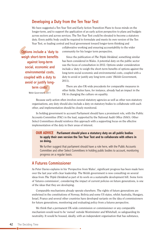#### Developing a Duty from the Ten Year Test

We have suggested a Ten Year Test and Early Action Transition Plans to focus minds on the longer-term, and to support the application of an early action perspective to plans and budgets across sectors and across services. The Ten Year Test could be elevated to become a statutory duty. Every public body could be required to formulate and meets its own version of the Ten Year Test, so leading central and local government toward longer-term thinking and

Options include a 'duty to weigh short-term benefits against long-term social, economic and environmental costs, coupled with a duty to avoid or justify longterm costs' Welsh Government, 2011

collaborative working and ensuring accountability to the wider community for his longer term perspective.

Since the publication of *The Triple Dividend*, something similar has been considered in Wales. A potential duty on the public sector was the focus of consultation in 2012. Options under consideration include a 'duty to weigh the short-term benefits of options against the long-term social economic and environmental costs, coupled with a duty to avoid or justify any long term costs' (Welsh Government, 2011).

There are also UK-wide precedents for comparable measures in other fields. Duties have, for instance, already had an impact in the UK in changing the culture on equality.

Because early action often involves several statutory agencies as well as other non-statutory organisations, any duty should also include a duty on statutory bodies to collaborate with each other, and implementation should be closely monitored.

In holding government to account Parliament should have a prominent role, with the Public Accounts Committee (PAC) in the lead, supported by the National Audit Office (NAO). Other Select Committees should reinforce this approach with a supporting focus on the effective implementation of the duty in their areas of interest.

#### **ouR AdviCE Parliament should place a statutory duty on all public bodies to apply their own version the Ten year Test and to collaborate with others in so doing.**

We further suggest that parliament should have a role here, with the Public Accounts Committee and other Select Committees in holding public bodies to account, monitoring progress on a regular basis.

#### A Futures Commissioner

As Peter Davies explains in his 'Perspective from Wales', significant progress has been made here over the last year with clear leadership. The Welsh government is now consulting on several ideas from *The Triple Dividend* as part of its work on a sustainable development bill. Some form of 'futures commission', considering the impact of current policies on future generations, is one of the ideas that they are developing.

Comparable mechanisms already operate elsewhere. The rights of future generations are enshrined in the constitutions of Norway, Bolivia and some US states, whilst Australia, Hungary, Israel, France and several other countries have developed variants on the idea of commissioners for future generations, monitoring and evaluating policy from a futures perspective.

We think that a permanent UK-wide commission or commissioner or any comparable mechanism would need to be 'owned' outside Westminster and Whitehall, so safeguarding its neutrality. It would be housed, ideally, with an independent organisation that has substance,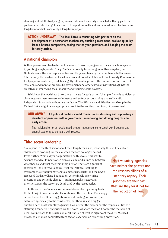standing and intellectual pedigree, an institution not narrowly associated with any particular political interests. It might be expected to report annually and would need to be able to commit long-term to what is obviously a long-term project.

**ACTion undERWAy The Task Force is consulting with partners on the development of a permanent mechanism, outside government, evaluating policy from a futures perspective, asking the ten year questions and banging the drum for early action.**

#### A national champion

Within government, leadership will be needed to ensure progress on the early action agenda. Appointing a high profile 'Policy Tsar' can in reality be nothing more than a fig-leaf, but Ombudsmen with clear responsibilities and the power to carry them out have a better record. Alternatively, the newly-established independent Social Mobility and Child Poverty Commission, led by a prominent chair, models a slightly different approach. The Commission is required to 'challenge and monitor progress by government and other external institutions against the objectives of improving social mobility and reducing child poverty'.

Whichever the model, we think there is a case for early action 'champion' who is sufficiently close to government to exercise influence and enforce accountability and sufficiently independent to do both without fear or favour. The Efficiency and Effectiveness Group in the Cabinet Office might be an appropriate link into the exciting machinery of government.

#### **ouR AdviCE All political parties should commit to establishing and supporting a structure or position, within government, monitoring and driving progress on early action.**

The individual or forum would need enough independence to speak with freedom, and enough authority to be heard with respect.

#### Third sector leadership

Ask anyone in the third sector about their long-term vision; invariably they will talk about obsolescence, working for the day when they are no longer needed. Press further. What did your organisation do this week, this year to advance that day? Funders often display a similar disjunction between what they do and what they think they are for. There are significant exceptions – the Barrow Cadbury Trust for instance, 'seeking to overcome the structural barriers to a more just society' and the newly refocused Lankelly Chase Foundation, determinedly prioritising prevention and systemic change – but in general, strategy and priorities across the sector are dominated by the rescue reflex.

In this report we've made recommendations about planning tools, the building of evidence and collaboration on the front line. These apply across the sectors. Other suggestions, about funding for instance, are addressed specifically to the third sector, but there is also a bigger question here. Most voluntary agencies have neither the powers nor the responsibilities of a

statutory agency. Their priorities are their own. What are they for if not for the reduction of need? Not perhaps to the exclusion of all else, but at least in significant measure. We need braver, bolder, more committed third sector leadership on prioritising prevention.

Most voluntary agencies have neither the powers nor the responsibilities of a statutory agency. Their priorities are their own. What are they for if not for the reduction of need?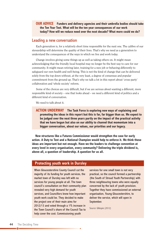#### **ouR AdviCE Funders and delivery agencies and their umbrella bodies should take the Ten year Test. What will be the ten year consequences of our work today? how will we reduce need over the next decade? What more could we do?**

#### Leading a new conversation

Each generation is, for a relatively short time responsible for the next one. The calibre of our stewardship will determine the quality of their lives. That's why we need as a generation to understand the consequences of the ways in which we live and work today.

Change involves giving some things up as well as taking others on. It might mean acknowledging that the friendly local hospital may no longer be the best way to care for our community. It might mean retiring later, training for a new job or behaving differently to safeguard our own health and well-being. This is not the kind of change that can be delivered solely from the top down without, at the very least, a degree of consensus and popular commitment from the ground up. That's why we talk a lot in this report about 'cross-party' collaboration and 'whole society' reform.

Some of the choices are very difficult, but if we are serious about wanting a different, more responsible kind of society – one that looks ahead – we need a different kind of politics and a different kind of conversation.

We need to talk about it.

**ACTion undERWAy The Task Force is exploring new ways of explaining and promoting the ideas in this report but this is far, far bigger than us. We expect to be judged over the next three years partly on the impact of the practical activity that we have begun but also on our ability to channel that momentum into a bigger conversation, about our values, our priorities and our legacy.**

**new structures like a Futures Commissioner would strengthen the case for early action. A duty to Test and a national Champion would help to enforce it. We think these ideas are important but not enough. have we the leaders to challenge convention at every level in every organisation, every community? delivering the triple dividend is, above all, a question of leadership. A question for us all.**

#### **Protecting youth work in dursley**

When Gloucestershire County Council cut the majority of its funding for youth services, the market town of Dursley was left with no services for young people at all. The town council's consultation on their community plan revealed very high demand for youth services, and Councillors knew how important youth work could be. They decided to make the project one of their main aims for 2012/13 and voted through a 1% increase in the Town Council's share of the Council Tax to help cover the cost. Commissioning youth

services for one small town is not very practical, so the council formed a partnership (the South of Stroud Youth Partnership) with three neighbouring towns who were equally concerned by the lack of youth provision. Together they have commissioned an external organisation, Young Gloucestershire, to deliver the service, which will open in September.

Source: Gillespie (2012)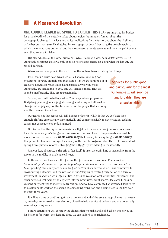## n **A Measured Revolution**

#### **onE CounCiL LEAdER WE SPokE To EARLiER ThiS yEAR** summarised his budget

for us and outlined the cuts. He talked about services 'running on fumes', about the demographic change in his locality and its implications for the future and about the likelihood of further cuts next year. He sketched his own 'graph of doom' depicting the probable point at which the money runs out for all but the most essential, acute services and then the point where even they are unaffordable.

His plan was less of the same, cut by cut. Why? 'Because it was, he said 'fear driven … if a vulnerable pensioner dies or a child is killed no one gets sacked for doing what the last guy did. We did our best.'

Wherever we have gone in the last 18 months we have been struck by two things:

First, that an acute, fear-driven, crisis-led service, rescuing not preventing, is rarely enough, and that even if it is we are running out of rescuers. Services for public good, and particularly for the most vulnerable, are struggling in 2012 and will struggle more. They will soon be unaffordable. They are unsustainable.

Second, we could do better, earlier. This is a practical proposition. Budgeting, planning, managing, delivering, evaluating will all need to change but largely we, not the Task Force but the people that are doing it at the moment, know how.

Services for public good, and particularly for the most vulnerable ... will soon be unaffordable. They are unsustainable

Our fear is not that rescue will fail. Sooner or later it will. It is that we don't act soon enough, shifting emphatically, systematically and comprehensively to earlier action, tackling causes not consequences, reducing need.

Our fear is that the big decision makers will get half the idea. Moving on from under-fives, for instance – last year's thing – to commission reports on five- to ten-year-olds, and switch modest resources. We need a **whole community** that is ready for everything, a **whole society** that prevents. Too much is expected already of the purely programmatic. The triple dividend will spring from systemic reform – changing the nitty-gritty not adding to the itty-bitty.

And our fear, of course, is the grip of fear itself. It takes a certain kind of leadership, from the top or in the middle, to challenge old ways.

In this report we have used the goals of the government's own Fiscal Framework – *'sustainable public finances … promoting intergenerational fairness …'* to recommend Ten Year Spending Plans, early action auditing, a Ten Year Test and Transition Plans committed to cross-cutting outcomes, and the revision of budgetary rules treating early action as a form of investment. In addition we suggest duties, rights and roles for local authorities, parliament and other agencies embracing whole system reform, premiums, profit shares, dedicated funds and responsibility charges to incentivise transition. And we have committed an expanded Task Force to developing its work on the obstacles, embedding transition and holding feet to the fire over the next three years.

It will be a time of continuing financial constraint and of the escalating problems that ensue, of, probably, an unusually close election, of particularly significant budgets, and of a potentially seminal spending review.

Future generations will consider the choices that we make and look back on this period as, for better or for worse, the deciding time. We can't afford to be frightened.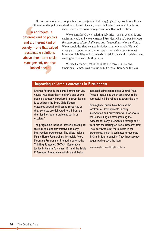Our recommendations are practical and pragmatic, but in aggregate they would result in a different kind of politics and a different kind of society – one that valued sustainable solutions

...in aggregate, a different kind of politics and a different kind of society – one that valued sustainable solutions above short-term crisis management, one that looked ahead

above short-term crisis management, one that looked ahead.

We've considered the escalating liabilities – social, economic and environmental, and we've witnessed President Obama's *'gap between the magnitude of our challenges and the smallness of our politics'*. We've concluded that isolated initiatives are not enough. We need cross-party support for changing structures and systems to meet imminent liabilities and to unleash the triple dividend – thriving lives, costing less and contributing more.

We need a change that is thoughtful, rigorous, sustained, ambitious – a measured revolution but a revolution none the less.

#### **improving children's outcomes in Birmingham**

Brighter Futures is the name Birmingham City Council has given their children's and young people's strategy, introduced in 2009. Its aim is to address the Every Child Matters outcomes through redirecting resources so that 'services are delivered to children and their families before problems set in or escalate.'

The programme includes intensive piloting (or testing) of eight preventative and early intervention programmes. The pilots include Family Nurse Partnerships, Incredible Years Parenting Programme, Promoting Alternative Thinking Strategies (PATHS), Restorative Justice in Children's Homes (RJ) and the Triple P Parenting Programme, which are all being

assessed using Randomised Control Trials. Those programmes which are shown to be successful will be rolled out across the city.

Birmingham Council have been at the forefront of developments in early intervention and prevention work for several years, including on strengthening the evidence for early intervention through their work with the Dartington Social Research Unit. They borrowed £40.7m to invest in the programme, which is estimated to generate £101m in future benefits. They have already begun paying back the loan.

www.birmingham.gov.uk/brighter-futures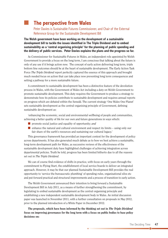## n **The perspective from Wales**

Peter Davies is Sustainable Futures Commissioner, and Chair of the External Reference Group for the Sustainable Development Bill

**The Welsh government have been working on the development of a sustainable development bill to tackle the issues identified in The Triple dividend and to embed sustainability as a 'central organising principle' for the planning of public spending and the delivery of public services. Peter davies explains the plans and the progress so far.**

As Commissioner for Sustainable Futures in Wales, an independent role appointed by Welsh Government to provide a focus on the long term, I am conscious that talking about the future is only of any use if it brings action now. The concept of early action delivering long term, triple bottom line outcomes should be at the heart of sustainable development. The Early Action Task Force *The Triple Dividend* report perfectly captured the essence of this approach and brought much needed focus on action that can take place now preventing long term consequences and setting a pathway for a more sustainable future.

A commitment to sustainable development has been a distinctive feature of the devolution process in Wales, with the Government of Wales Act including a duty on Welsh Government to promote sustainable development. This duty requires the Government to produce a strategy to demonstrate how its policies contribute to sustainable development and requires annual reports on progress which are debated within the Senedd. The current strategy 'One Wales One Planet' sets sustainable development as the central organising principle of Government, defining sustainable development as:

'enhancing the economic, social and environmental wellbeing of people and communities, achieving a better quality of life for our own and future generations in ways which:

- **n** promote social justice and equality of opportunity; *and*
- $\blacksquare$  enhance the natural and cultural environment and respect its limits using only our fair share of the earth's resources and sustaining our cultural legacy.'

This governance framework has provided an important context for the development of policy across departments. It has also generated much debate as to how we best achieve a sustainable, long-term development path for Wales, as successive reviews of the effectiveness of the sustainable development duty have highlighted challenges of achieving integration across departmental policies. Truth be told, progress has been limited hitherto due to all the reasons set out in *The Triple Dividend*.

We can of course find evidence of shifts in practice, with focus on early years through the commitment to Flying Start, the establishment of local service boards to deliver an integrated approach. However, it may be that our planned Sustainable Development Bill provides the real opportunity to 'service the bureaucratic plumbing' of spending rules, organisational silos etc and put forward practical and structural improvements and a process of transition to early action.

The Welsh Government announced their intention to bring forward a Sustainable Development Bill in July 2011, as a means of further strengthening the commitment, by legislating to embed sustainable development as the central organising principle and establishing a new independent sustainable development body in Wales. An initial discussion paper was launched in November 2011, with a further consultation on proposals in May 2012, prior to the planned introduction of a White Paper in December 2012.

**The proposals, which have been informed by the thinking set out in** *The Triple Dividend* **focus on improving governance for the long term with a focus on public bodies to base policy decisions on:**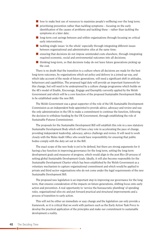- $\blacksquare$  how to make best use of resources to maximise people's wellbeing over the long term;
- n prioritising prevention rather than tackling symptoms focusing on the early identification of the causes of problems and tackling these – rather than tackling the symptoms at a later date;
- n long-term cost savings between and within organisations through focusing on critical early interventions;
- $\blacksquare$  tackling single issues 'in the whole' especially through integrating different issues between organisational and administrative silos at the same time;
- $\blacksquare$  ensuring that decisions do not impose unintended costs elsewhere, through integrating required economic, social and environmental outcomes into all decisions;
- $\blacksquare$  thinking long-term, so that decisions today do not leave future generations picking up the cost.

There is no doubt that the transition to a culture where all decisions are made for the best long-term outcomes, by organisations which set policy and delivery in a joined-up way, and which take account of the needs of future generations, will need a significant shift in attitudes, behaviours and capabilities. The proposed legal duty will provide an important framework for this change, but will need to be underpinned by a culture change programme which builds on the 4E's model of Enable, Encourage, Engage and Exemplify currently applied by the Welsh Government and which will be a core function of the proposed Sustainable Development Body to be established under the new Bill.

The Welsh Government was a great supporter of the role of the UK Sustainable Development Commission as an independent body appointed to provide advice, advocacy and review and was the only administration in the UK to make a commitment to continue the function, following the decision to withdraw funding by the UK Government, through establishing the role of Sustainable Futures Commissioner.

The proposals for the Sustainable Development Bill will establish this role in a new statutory Sustainable Development Body which will have a key role in accelerating the pace of change, providing independent leadership, advocacy, advice challenge and review. It will need to work closely with the Wales Audit Office who would have responsibility for ensuring that public bodies comply with the duty set out in the Bill.

The exact scope of the new body is yet to be defined, but there are strong arguments for it having a key function in improving governance for the long term, setting the long-term development goals and measures of progress, which would align to the post Rio+20 process of setting global Sustainable Development Goals. Ideally, it will also become responsible for the Sustainable Development Charter which has been established by the Welsh Government as a voluntary mechanism to capture organisational commitment and which would be applied to private and third sector organisations who do not come under the legal requirements of the new Sustainable Development Bill.

The proposed new legislation is an important step in improving our governance for the long term, that ensures consideration of the impacts on future generations, shifting focus onto early action and prevention. A real opportunity to 'service the bureaucratic plumbing' of spending rules, organisational silos etc and put forward practical and structural improvements and a process of transition to early action.

This will not be either an immediate or easy change and the legislation can only provide a framework, so it is critical that we work with partners such as the Early Action Task Force to develop the practical application of the principles and make our commitment to sustainable development a reality.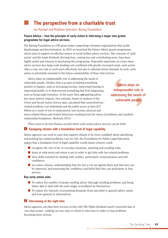## n **The perspective from a charitable trust**

Joe Randall and Matthew Smerdon, Baring Foundation

#### **Future Advice – how the principle of early action is informing a major new grants programme for legal advice services.**

The Baring Foundation is a UK grant-maker supporting voluntary organisations that tackle disadvantage and discrimination. In 2012 we launched the *Future Advice* grants programme, which aims to support an effective system of social welfare advice services. The concepts of 'early action' and the triple dividend: thriving lives, costing less and contributing more, have been highly useful and relevant in developing this programme. Especially important, at a time when advice services face large-scale funding cuts combined with greatly increased needs, early action offers a way, not only to work more effectively, but also to alleviate future demand. As such, early action is potentially essential to the future sustainability of these vital services.

Advice plays an indispensable role in addressing the needs of vulnerable people, whether that is as part of helping something positive to happen, such as increasing income, improving housing or improving health, or to help prevent something bad from happening, such as being made homeless. At the same time, *not* getting advice has many adverse impacts. One estimate, based on analysis of the Crime and Social Justice Survey data, calculated that unresolved lawrelated problems cost individuals and the public purse at least £13 billion as a result of loss of employment, lost income, physical and

Advice plays an indispensable role in addressing the needs of vulnerable people

stress-related illness and violent behaviour resulting from the stress of problems and resultant relationship breakdown. (Kenrick, 2011)

There seem to be four themes around which early action advice services can be built:

#### n **Equipping citizens with a foundation level of legal capability 1**

Advice agencies can work in ways that support citizens to be more confident about identifying and tackling law related problems. Law for Life, the Foundation for Public Legal Education, argues that a foundation level of legal capability would means citizens could:

- $\blacksquare$  recognise the role of law in everyday situations, planning and avoiding risks;
- $\blacksquare$  know at what point and where to go in order to get help with law-related problems;
- $\blacksquare$  have skills essential for dealing with conflict, particularly communication and selfconfidence;
- n are active citizens, understanding that the law is not set against them and that laws can be improved, and possessing the confidence and belief that they can participate in that process.

#### **key early action aims**

- $\blacksquare$  To reduce the number of people needing advice (through avoiding problems, and being better able to deal with the early stages of problems by themselves).
- $\blacksquare$  To reduce the intensity of presenting demands (from specialist to general advice needs, and from general to information).

#### n **intervening at the right time 2**

Advice agencies can plan their services in line with *The Triple Dividend* report's powerful idea of 'one-step-sooner', seeking out new ways in which to intervene in order to stop problems becoming more serious.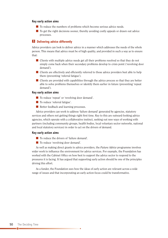#### **key early action aims**

- $\blacksquare$  To reduce the numbers of problems which become serious advice needs.
- $\blacksquare$  To get the right decisions sooner, thereby avoiding costly appeals or drawn out advice processes.

#### **8** Delivering advice differently

Advice providers can look to deliver advice in a manner which addresses the needs of the whole person. This means that advice must be of high quality, and provided in such a way as to ensure that:

- $\blacksquare$  Clients with multiple advice needs get all their problems resolved so that they do not simply come back when their secondary problems develop to crisis point ('revolving door demand').
- Clients are effectively and efficiently referred to those advice providers best able to help them (preventing 'referral fatigue').
- $\blacksquare$  Clients are provided with capabilities through the advice process so that they are better able to solve problems themselves or identify them earlier in future (preventing 'repeat demand').

#### **key early action aims**

- To reduce 'repeat' or 'revolving door demand'.
- To reduce 'referral fatigue'.
- **n** Better feedback and learning processes.

Advice providers can work to address 'failure demand' generated by agencies, statutory services and others not getting things right first time. Key to this are outward-looking advice agencies, which operate with a collaborative instinct, seeking out new ways of working with partners (including community groups, health bodies, local voluntary sector networks, national and local statutory services) in order to act on the drivers of demand.

#### **key early action aims**

- To reduce the drivers of 'failure demand'.
- To reduce 'revolving door demand'.

As well as making direct grants to advice providers, the *Future Advice* programme involves wider work to influence the environment for advice services. For example, the Foundation has worked with the Cabinet Office on how best to support the advice sector to respond to the pressures it is facing. It has argued that supporting early action should be one of the principles driving this effort.

As a funder, the Foundation sees how the ideas of early action are relevant across a wide range of issues and that incorporating an early action focus could be transformative.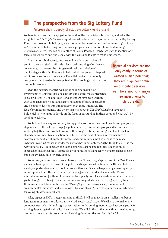## n **The perspective from the Big Lottery Fund**

#### Ambreen Shah is Deputy Director, Big Lottery Fund England

We have funded and been engaged in the work of the Early Action Task Force, and value the insights from *The Triple Dividend* report, as early action is an important area for the Big Lottery Fund. Our mission is to help people and communities most in need and as an intelligent funder, we're committed to focusing our resources, people and connections towards stemming problems at source. Inspired by our ethos of People Powered Change, we want to identify longterm local solutions and find people with the skills and talents to make a difference.

Statistics on child poverty, income and health in our society all point to the same stark truth – decades of well-meaning effort have not done enough to prevent the intergenerational transmission of disadvantage within families, nor to help unlock the potential trapped within some sections of our society. Remedial services are not only costly in terms of wasted human potential; they are huge cost drain on our public services.

Over the next few months, we'll be announcing major new investments to 'shift the dial' and address some of the most entrenched social problems in England. Task Force members have been working with us to share knowledge and experience about effective approaches and helping to develop our thinking as we plan these initiatives. The

Remedial services are not only costly in terms of wasted human potential; they are huge cost drain on our public services... we'll be announcing major new investments to 'shift the dial'

idea of promoting readiness and the principles set out in *The Triple Dividend* have been influential in helping us to decide on the focus of our funding in these areas and what we'll be seeking to achieve.

We believe that every community facing problems contains within it people and groups who step forward as the solution. Engaged public services, community groups and businesses working together can turn that around if they are given time, encouragement and belief. A shared commitment to early action must be one of the central pillars for partnerships to coalesce around if a real impact for people and communities most in need is to be made. Together, investing earlier in evidenced approaches is not only the 'right' thing to do – it is the *best* thing to do. Our approach includes support to expand and replicate evidence-based approaches on a larger scale, alongside a willingness to test and learn new approaches to help build the evidence base for early action.

We recently commissioned research from New Philanthropy Capital, one of the Task Force's members, to scope an overview of the policy landscape on early action in the UK, and help BIG identify opportunities where it could make a difference. One challenge of implementing early action approaches is the need for partners and agencies to work collaboratively. We are interested in working with local partners – strategically and at scale – where we share the same goals of long-term change. Over the summer, we supported conferences organised by New Economics Foundation on the case for 'Moving Upstream' across social, economic and environmental initiatives, and one by Wave Trust on sharing effective approaches to early action for young children in local areas.

A key aspect of BIG's strategic funding until 2015 will be to focus on a smaller number of long-term investments to address entrenched, costly social issues. We will start to make some announcements shortly, and begin conversations in the coming months. We have an appetite for making deep, targeted and radical investments. We will do this at the same time as maintaining our popular open grants programmes, Reaching Communities and Awards for All.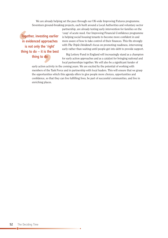We are already helping set the pace through our UK-wide Improving Futures programme. Seventeen ground-breaking projects, each built around a Local Authorities and voluntary sector

Together, investing earlier in evidenced approaches is not only the 'right' thing to  $do - it$  is the best thing to do

partnership, are already testing early intervention for families on the 'cusp' of acute need. Our Improving Financial Confidence programme is helping social housing tenants to become more confident in and more aware of how to take control of their finances. This fits strongly with *The Triple Dividend*'s focus on promoting readiness, intervening early rather than waiting until people get into debt to provide support.

Big Lottery Fund in England will increasingly stand as a champion for early action approaches and as a catalyst for bringing national and local partnerships together. We will also be a significant funder of

early action activity in the coming years. We are excited by the potential of working with members of the Task Force and in partnership with local leaders. This will ensure that we grasp the opportunities which this agenda offers to give people more choices, opportunities and confidence, so that they can live fulfilling lives, be part of successful communities, and live in enriching places.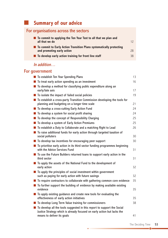## n **Summary of our advice**

## For organisations across the sectors

| $\blacksquare$ To commit to applying the Ten Year Test to all that we plan and<br>all that we do     | 12 |
|------------------------------------------------------------------------------------------------------|----|
| ■ To commit to Early Action Transition Plans systematically protecting<br>and promoting early action | 28 |
| ■ To develop early action training for front line staff                                              | 38 |

### In addition…

## For government

| To establish Ten Year Spending Plans                                                                         | 13 |
|--------------------------------------------------------------------------------------------------------------|----|
| To treat early action spending as an investment                                                              | 16 |
| To develop a method for classifying public expenditure along an                                              |    |
| early/late axis                                                                                              | 17 |
| To isolate the impact of failed social policies                                                              | 19 |
| To establish a cross-party Transition Commission developing the tools for                                    |    |
| planning and budgeting on a longer time scale                                                                | 21 |
| To develop a cross-cutting Early Action Fund                                                                 | 24 |
| To develop a system for social profit sharing                                                                | 24 |
| To develop the concept of Responsibility Charging                                                            | 25 |
| To develop a system of Early Action Premiums                                                                 | 25 |
| To establish a Duty to Collaborate and a matching Right to Lead                                              | 26 |
| To raise additional funds for early action through targeted taxation of                                      |    |
| social polluters                                                                                             | 30 |
| To develop tax incentives for encouraging peer support                                                       | 30 |
| To prioritise early action in its third sector funding programmes beginning<br>with the Advice Services Fund | 31 |
| To use the Future Builders returned loans to support early action in the                                     |    |
| third sector                                                                                                 | 31 |
| To apply the assets of the National Fund to the development of                                               |    |
| early action                                                                                                 | 32 |
| To apply the principles of social investment within government                                               |    |
| such as paying for early action with future savings                                                          | 32 |
| To require contractors to collaborate with gathering common core evidence                                    | 35 |
| To further support the building of evidence by making available existing<br>evidence                         | 35 |
| To apply existing guidance and create new tools for evaluating the                                           |    |
| effectiveness of early action initiatives                                                                    | 35 |
| To develop Long Term Value training for commissioners                                                        | 38 |
| To develop all the tools suggested in this report to support the Social                                      |    |
| Justice Strategy which is already focused on early action but lacks the                                      |    |
| means to deliver its goals                                                                                   | 41 |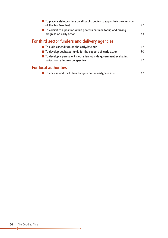| ■ To place a statutory duty on all public bodies to apply their own version<br>of the Ten Year Test   | 42 |
|-------------------------------------------------------------------------------------------------------|----|
| ■ To commit to a position within government monitoring and driving<br>progress on early action        | 43 |
| For third sector funders and delivery agencies                                                        |    |
| $\blacksquare$ To audit expenditure on the early/late axis                                            | 17 |
| ■ To develop dedicated funds for the support of early action                                          | 30 |
| ■ To develop a permanent mechanism outside government evaluating<br>policy from a futures perspective | 42 |
| <b>For local authorities</b>                                                                          |    |
| To analyse and track their budgets on the early/late axis                                             | 17 |

**.0**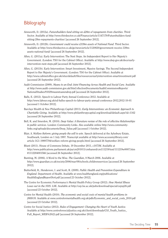### Bibliography

- Ainsworth, D. (2012a). *Futurebuilders fund sitting on £28m of repayments from charities*. Third Sector. Available at http://www.thirdsector.co.uk/Finance/article/1147179/Futurebuilders-fundsitting-28m-repayments-charities/ [accessed 26 September 2012].
- Ainsworth, D. (2012b). *Government could receive £339m assets of National Fund*. Third Sector. Available at http://www.thirdsector.co.uk/go/news/article/1120820/government-receive-339massets-national-fund/ [accessed 26 September 2012].
- Allen, G. (2011a). Early Intervention: The Next Steps. An Independent Report to Her Majesty's Government. (London: TSO for the Cabinet Office). Available at http://www.dwp.gov.uk/docs/earlyintervention-next-steps.pdf [accessed 26 September 2012].
- Allen, G. (2011b). Early Intervention: Smart Investment, Massive Savings. The Second Independent Report to Her Majesty's Government. (London: TSO for the Cabinet Office). Available at http://www.cabinetoffice.gov.uk/sites/default/files/resources/earlyintervention-smartinvestment.pdf [accessed 26 September 2012].
- Audit Commission (2009). *Means to an End: Joint Financing Across Health and Social Care.* Available at http://www.audit-commission.gov.uk/SiteCollectionDocuments/AuditCommissionReports/ NationalStudies/91029meanstoanendrep.pdf [accessed 26 September 2012].
- Balls, E. (2012). Speech to Labour Party Annual Conference 2012. Available at http://www.labour.org.uk/ed-ballss-speech-to-labour-party-annual-conference-2012,2012-10-01 [accessed 1 October 2012].
- Barclays Wealth & New Philanthropy Capital (2011). *Early Interventions: an Economic Approach to Charitable Giving.* Available at http://www.philanthropycapital.org/download/default.aspx?id=1162 [accessed 26 September 2012].
- Bell, K. and Smerdon, M. (2010). *Deep Value: A literature review of the role of effective Relationships in public services*. London: Community Links. Also available online http://www.communitylinks.org/uploads/documents/Deep\_Value.pdf [accessed 1 October 2012].
- Blair, A. *Welfare Reform: giving people the will to win.* Speech delivered at the Aylesbury Estate, Southwark, London on 1 July 1997. Transcript available at http://www.accessmylibrary.com/ article-1G1-19897784/welfare-reform-giving-people.html [accessed 26 September 2012].
- Blunt (2011). House of Commons Debate, 19 December 2011, c1073W. Available at http://www.publications.parliament.uk/pa/cm201011/cmhansrd/cm111219/text/111219w0007.htm #1112204001566 [accessed 26 September 2012].
- Bunting, M. (2006). A Word to the Wise. *The Guardian*, 8 March 2006. Available at http://www.guardian.co.uk/society/2006/mar/08/schools.childrensservices [accessed 26 September 2012].
- Butterfield, R., Henderson, J. and Scott, R. (2009). *Public Health and Prevention Expenditure in England*. Department of Health. Available at www.healthengland.org/publications/ HealthEnglandReportNo4.pdf [accessed 23 October 2012].
- The Centre for Economic Performance's Mental Health Policy Group (2012). *How Mental Illness Loses out in the NHS*. LSE. Available at http://cep.lse.ac.uk/pubs/download/special/cepsp26.pdf [accessed 23 October 2012].
- Centre for Mental Health (2010). *The economic and social costs of mental health problems in 2009/10.* Available at www.centreformentalhealth.org.uk/pdfs/Economic\_and\_social\_costs\_2010.pdf [accessed 23 October 2012].
- Centre for Social Justice (2012). *Rules of Engagement: Changing the Heart of Youth Justice.* Available at http://www.centreforsocialjustice.org.uk/client/downloads/CSJ\_Youth\_Justice\_ Full\_Report\_WEB%20(2).pdf [accessed 26 September 2012].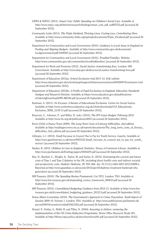- CIPFA & NSPCC (2011). *Smart Cuts: Public Spending on Children's Social Care.* Available at http://www.nspcc.org.uk/Inform/research/findings/smart\_cuts\_pdf\_wdf85752.pdf [accessed 26 September 2012].
- Community Links (2011). *The Triple Dividend: Thriving Lives, Costing Less, Contributing More.* Available at http://www.community-links.org/uploads/documents/Triple\_Dividend.pdf [accessed 26 September 2012].
- Department for Communities and Local Government (2010). *Guidance to Local Areas in England on Pooling and Aligning Budgets.* Available at http://www.communities.gov.uk/documents/ localgovernment/pdf/1508565 [accessed 26 September 2012].
- Department for Communities and Local Government (2012). *Troubled Families.* Website: http://www.communities.gov.uk/communities/troubledfamilies/ [accessed 26 September 2012].
- Department for Work and Pensions (2012). *Social Justice: transforming lives.* London: HM Government. Available at http://www.dwp.gov.uk/docs/social-justice-transforming-lives.pdf [accessed 26 September 2012].
- Department of Education (2012a). *School Exclusion trial 2011-14.* DoE website http://www.education.gov.uk/schools/pupilsupport/behaviour/exclusion/b00200074/exclusion-trial [accessed 26 September 2012].
- Department of Education (2012b). *A Profile of Pupil Exclusions in England, Education Standards Analysis and Research Division.* Available at https://www.education.gov.uk/publications/ eOrderingDownload/DFE-RR190.pdf [accessed 26 September 2012].
- Eastman, A. (2011). *No Excuses: A Review of Educational Exclusion.* Centre for Social Justice. Available at http://www.centreforsocialjustice.org.uk/client/downloads/CSJ\_Educational\_ Exclusion WEB 12.09.11.pdf [accessed 26 September 2012].
- Emerson, C., Johnson, P., and Miller, H. (eds.) (2012). *The IFS Green Budget: February 2012.* Available at http://www.ifs.org.uk/publications/6003 [acccessed 26 September 2012].
- Every Child a Chance Trust (2009). *The Long Term Costs of Literacy Difficulties, 2nd edition.* Available at http://readingrecovery.ioe.ac.uk/reports/documents/The\_long\_term\_costs\_of\_literacy\_ difficulties\_2nd\_edition.pdf [accessed 26 September 2012].
- Gillespie, L-J. (2012). Small Increase in Council Tax to Pay for Youth Service. Gazette. Available at http://www.gazetteseries.co.uk/news/9455152.Small\_increase\_in\_council\_tax\_to\_pay\_for\_youth\_ service/ [accessed 26 September 2012].
- Harker, R. (2012. *Children in Care in England: Statistics.* House of Commons Library. Available at http://www.parliament.uk/briefing-papers/SN04470.pdf [accessed 26 September 2012].
- Hex, N., Bartlett, C., Wright, D., Taylor, M. and Varley, D. (2012). Estimating the current and future costs of Type 1 and Type 2 diabetes in the UK, including direct health costs and indirect societal and productivity costs. *Diabetic Medicine*, 29: 855–862. doi: 10.1111/j.1464-5491.2012.03698.x. Reported at http://www.guardian.co.uk/society/2012/apr/25/diabetes-treatment-bankrupt-nhsgeneration [accessed 26 September 2012].
- HM Treasury (2010). *The Spending Review Framework*, Cm 7872. London: TSO. Available at http://www.hm-treasury.gov.uk/d/spending\_review\_framework\_080610.pdf [accessed 26 September 2012].
- HM Treasury (2012). *Consolidated Budgeting Guidance from 2012-13.* Available at http://www.hmtreasury.gov.uk/d/consolidated\_budgeting\_guidance\_201213.pdf [accessed 26 September 2012].
- Home Affairs Committee (2010). *The Government's Approach to Crime Prevention. Tenth Report of Session 2009-10.* Volume 1. London: TSO. Available at http://www.publications.parliament.uk/ pa/cm200910/cmselect/cmhaff/242/242i.pdf [accessed 26 September 2012].
- Homel, P., Nutley, S., Webb, B. and Tilley, N. (2004). *Investing to Deliver: reviewing the implementation of the UK Crime Reduction Programme.* Home Office Research Study 281. Available at http://library.npia.police.uk/docs/hors/hors281.pdf [accessed 26 September 2012].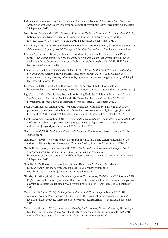- Independent Commission on Youth Crime and Antisocial Behaviour (2010). *Time for a Fresh Start.* Available at http://www.youthcrimecommission.org.uk/attachments/076\_FreshStart.pdf [accessed 26 September 2012].
- Jama, D. and Dugdale, G. (2012). *Literacy: State of the Nation. A Picture of Literacy in the UK Today.* National Literacy Trust. Available at http://www.literacytrust.org.uk/assets/0001/2847/ Literacy\_State\_of\_the\_Nation\_-\_2\_Aug\_2011.pdf [accessed 26 September 2012].
- Kenrick, J. (2011). *The outcomes & impact of youth advice – the evidence: Key research evidence on the difference made to young people's lives by social welfare law advice services.* London: Youth Access.
- Kitchen, S., Tanner, E., Brown, V., Payne, C., Crawford, C., Dearden, L., Greaves, E. and Purdon, S. (2012). *Evaluation of the Free School Meals Pilot. Impact Report.* Department for Education. Available at https://www.education.gov.uk/publications/eOrderingDownload/DFE-RR227.pdf [accessed 26 September 2012].
- Knapp, M., McDaid, D. and Parsonage, M. (eds) (2011). *Mental health promotion and mental illness prevention: the economic case.* Personal Social Services Research Uit, LSE. Available at www.dh.gov.uk/prod\_consum\_dh/groups/dh\_digitalassets/documents/digitalasset/dh\_126386.pdf [accessed 23 October 2012].
- Krugman, P. (2012). Speaking on the Today programme, May 30th 2012. Available at http://news.bbc.co.uk/today/hi/today/newsid\_9724000/9724909.stm [accessed 26 September 2012].
- Lightfoot, L. (2012). New Scheme Succeeds in Keeping Excluded Children in Mainstream School. *The Guardian*, 9 April 2012. Available at http://www.guardian.co.uk/education/2012/apr/09/ permanently-excluded-pupils-mainstream-return [accessed 26 September 2012].
- Local Government Association (2012). Funding Outlook for Councils from 2010/11 to 2019/20: preliminary modelling. Available at http://www.local.gov.uk/c/document\_library/get\_file?uuid= 01a7770d-ed32-4bac-ae43-8fb4090e5d65&groupId=10171 [accessed 26 September 2012].
- Local Government Association (2012). *Written Evidence to the Justice Committee inquiry into Youth Violence.* Available at http://www.publications.parliament.uk/pa/cm201012/cmselect/cmjust/ writev/youthjus/youthjus.pdf [accessed 26 September 2012].
- Mackie, A. *et al* (2008). *Evaluation of the Youth Inclusion Programme: Phase 2.* London: Youth Justice Board.
- Maguire, M. (2004). The Crime Reduction Programme in England and Wales: Reflections on the vision and the reality. *Criminology and Criminal Justice*, August 2004 vol. 4 no. 3 213-237.
- Marsh, K., Bertranou, E. and Samanta, K. (2011). *Cost-benefit analysis and social impact bond feasibility analysis for the Birmingham Be Active scheme.* Available at http://www.socialfinance.org.uk/sites/default/files/matrix\_be\_active\_final\_report\_0.pdf [accessed 26 September 2012].
- McNally (2012). Hansard, House of Lords Debate, 18 January 2012, c681. Available at http://www.publications.parliament.uk/pa/ld201212/ldhansrd/text/120118- 0003.htm#1201193000037 [accessed 26th September 2012].
- Ministry of Justice (2012). *Proven Re-offending Statistics Quarterly Bulletin*. July 2009 to June 2010, England and Wales. Ministry of Justice Statistical Bulletin. Available at http://www.justice.gov.uk/ downloads/statistics/reoffending/proven-reoffending-jul-09-jun-10.pdf [accessed 26 September 2012].
- National Audit Office (2010a). *Tackling Inequalities in Life Expectancy in Areas with the Worst Health and Deprivation.* London: The Stationery Office. Available at http://www.nao.org.uk// idoc.ashx?docId=a08e42d2-a219-459b-9678-40b6931ec2d2&version=-1 [accessed 26 September 2012].
- National Audit Office (2010b). *Government Funding for Developing Renewable Energy Technologies.* London: The Stationery Office. Available at http://www.nao.org.uk//idoc.ashx?docId=4c937916- 4ee2-43fd-95bc-a59bf331f09a&version=-1 [accessed 26 September 2012].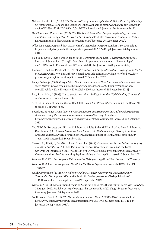- National Audit Office (2010c). *The Youth Justice System in England and Wales: Reducing Offending by Young People.* London: The Stationery Office. Available at http://www.nao.org.uk//idoc.ashx? docId=f003d89c-4281-47b1-944d-7c54c2f1764c&version=-1 [accessed 26 September 2012].
- New Economics Foundation (2012). *The Wisdom of Prevention: Long-term planning, upstream investment and early action to prevent harm.* Available at http://www.neweconomics.org/sites/ neweconomics.org/files/Wisdom\_of\_prevention.pdf [accessed 26 September 2012].
- Office for Budget Responsibility (2012). *Fiscal Sustainability Report.* London: TSO. Available at http://cdn.budgetresponsibility.independent.gov.uk/FSR2012WEB.pdf [accessed 26 September 2012].
- Pickles, E. (2011). Giving oral evidence to the Communities and Local Government Committee, Monday 12 September 2011. Q81. Available at http://www.publications.parliament.uk/pa/ cm201012/cmselect/cmcomloc/uc1470-i/uc147001.htm [accessed 26 September 2012].
- Plimmer, D. and van Poortvliet, M. (2012). *Prevention and Early Intervention: Scoping study for the Big Lottery Fund.* New Philanthropy Capital. Available at http://www.biglotteryfund.org.uk/er\_ prevention\_early\_intervention.pdf [accessed 26 September 2012].
- Policy Exchange (2009). *Every Child a Reader: An Example of How Top-Down Education Reforms Make Matters Worse.* Available at http://www.policyexchange.org.uk/images/publications/ every%20child%20a%20reader%20-%20feb%2009.pdf [accessed 26 September 2012].
- Roe, S. and Ashe, J. (2008). *Young people and crime: findings from the 2006 Offending Crime and Justice Survey.* London: Home Office.
- Scottish Parliament Finance Committee (2011). *Report on Preventative Spending.* First Report 2011 (Session 3), SP Paper 555.
- Social Justice Policy Group (2007). *Breakthrough Britain: Ending the Costs of Social Breakdown. Overview. Policy Recommendations to the Conservative Party.* Available at http://www.centreforsocialjustice.org.uk/client/downloads/overview.pdf [accessed 26 September 2012].
- The APPG for Runaway and Missing Children and Adults & the APPG for Looked After Children and Care Leavers (2012). *Report from the Joint Inquiry into Children who go Missing from Care.* Available at http://www.childrenssociety.org.uk/sites/default/files/tcs/u32/joint\_appg\_inquiry\_- \_report...pdf [accessed 26 September 2012].
- Thraves, L., Sillett, J., Carr-West, J. and Sawford, A. (2012). *Care Now and for the Future: an Inquiry into Adult Social Care.* All Party Parliamentary Local Government Group and the Local Government Information Unit. Available at http://www.lgiu.org.uk/wp-content/uploads/2012/07/ Care-now-and-for-the-future-an-inquiry-into-adult-social-care.pdf [accessed 26 September 2012].
- Wanless, D. (2002). *Securing our Future Health: Taking a Long-Term View.* London: HM Treasury.
- Wanless, D. (2004). *Securing Good Health for the Whole Population*. Norwich: HMSO for HM Treasury.
- Welsh Government (2011). *One Wales: One Planet. A Welsh Government Discussion Paper – Sustainable Development Bill.* Available at http://wales.gov.uk/docs/desh/publications/ 111201susdevdiscussionen.pdf [accessed 26 September 2012].
- Wintour, P. (2012). Labour Should Focus on Value for Money, says Rising Star of Party. *The Guardian*, 14 August 2012. Available at http://www.guardian.co.uk/politics/2012/aug/14/labour-focus-valuefor-money [accessed 26 September 2012].
- Youth Justice Board (2011). *YJB Corporate and Business Plan 2011/12 – 2014/15*. Available at http://www.justice.gov.uk/downloads/publications/yjb/2011/yjb-business-plan-2011-15.pdf [accessed 26 September 2012].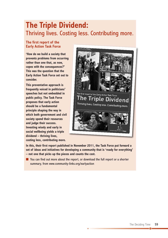## **The Triple dividend:** Thriving lives. Costing less. Contributing more.

#### **The first report of the Early Action Task Force**

**'how do we build a society that prevents problems from occurring rather than one that, as now, copes with the consequences?' This was the question that the Early Action Task Force set out to consider.**

**This preventative approach is frequently voiced in politicians' speeches but not embedded in public policy. The Task Force proposes that early action should be a fundamental principle shaping the way in which both government and civil society spend their resources and judge their success. investing wisely and early in social wellbeing yields a triple dividend – thriving lives, costing less, contributing more.**



**in this, their first report published in november 2011, the Task Force put forward a set of ideas and initiatives for developing a community that is 'ready for everything' – not one that picks up the pieces and counts the cost.**

■ You can find out more about the report, or download the full report or a shorter summary, from www.community-links.org/earlyaction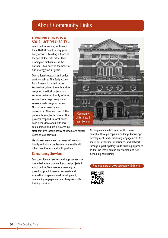## About Community Links

#### **CoMMuniTy LinkS iS A SoCiAL ACTion ChARiTy** in

east London working with more than 16,000 people every year. Early action – building a fence at the top of the cliff rather than running an ambulance at the bottom – has been at the heart of our strategy for 35 years.

Our national research and policy work – such as The Early Action Task Force – is rooted in the knowledge gained through a wide range of practical projects and services delivered locally, offering support to all age groups and across a wide range of issues. Most of our projects are delivered in Newham, one of the poorest boroughs in Europe. Our projects respond to local needs, have been developed with local communities and are delivered by

staff that live locally, many of whom are former users of our services.

We pioneer new ideas and ways of working locally and share the learning nationally with other practitioners and policymakers.

#### **Consultancy Services**

Our consultancy services and approaches are grounded in our community-based projects in east London. We share our learning by providing practitioner-led research and evaluation, organisational development, community engagement, and bespoke skills training services.



We help communities achieve their own potential through capacity building, knowledge development, and community engagement. We share our expertise, experience, and network through a participatory skills-building approach so that we leave behind an enabled and self sustaining community.

#### Find out more at www.community-links.org